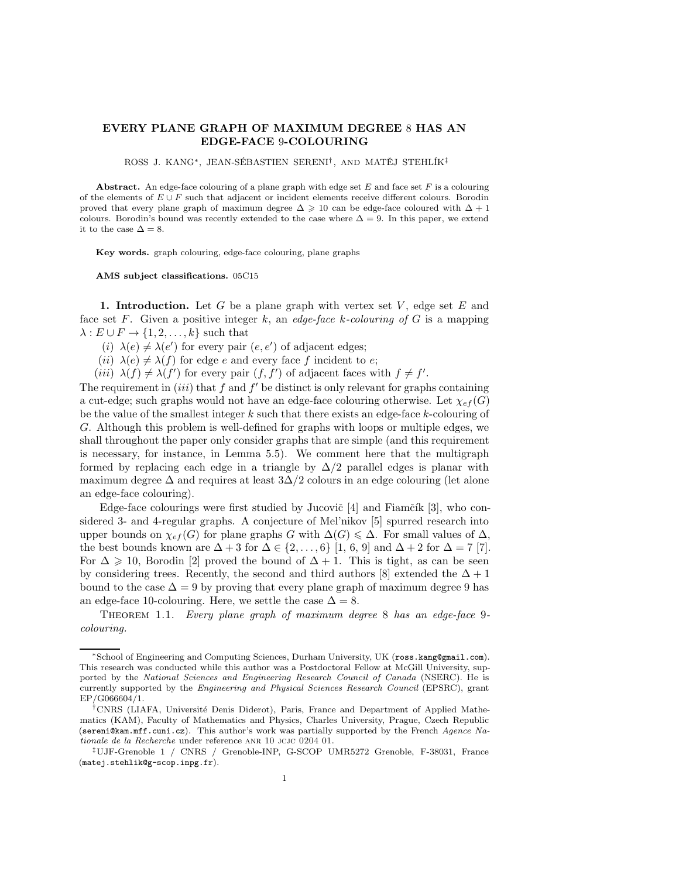# **EVERY PLANE GRAPH OF MAXIMUM DEGREE** 8 **HAS AN EDGE-FACE** 9**-COLOURING**

ROSS J. KANG<sup>\*</sup>, JEAN-SÉBASTIEN SERENI<sup>†</sup>, AND MATĚJ STEHLÍK<sup>‡</sup>

**Abstract.** An edge-face colouring of a plane graph with edge set *E* and face set *F* is a colouring of the elements of *E* ∪ *F* such that adjacent or incident elements receive different colours. Borodin proved that every plane graph of maximum degree  $\Delta \geq 10$  can be edge-face coloured with  $\Delta + 1$ colours. Borodin's bound was recently extended to the case where  $\Delta = 9$ . In this paper, we extend it to the case  $\Delta = 8$ .

**Key words.** graph colouring, edge-face colouring, plane graphs

**AMS subject classifications.** 05C15

**1. Introduction.** Let G be a plane graph with vertex set  $V$ , edge set  $E$  and face set F. Given a positive integer k, an *edge-face* k*-colouring of* G is a mapping  $\lambda : E \cup F \to \{1, 2, \ldots, k\}$  such that

- (i)  $\lambda(e) \neq \lambda(e')$  for every pair  $(e, e')$  of adjacent edges;
- (*ii*)  $\lambda(e) \neq \lambda(f)$  for edge e and every face f incident to e;
- (*iii*)  $\lambda(f) \neq \lambda(f')$  for every pair  $(f, f')$  of adjacent faces with  $f \neq f'$ .

The requirement in  $(iii)$  that f and f' be distinct is only relevant for graphs containing a cut-edge; such graphs would not have an edge-face colouring otherwise. Let  $\chi_{ef}(G)$ be the value of the smallest integer  $k$  such that there exists an edge-face  $k$ -colouring of G. Although this problem is well-defined for graphs with loops or multiple edges, we shall throughout the paper only consider graphs that are simple (and this requirement is necessary, for instance, in Lemma 5.5). We comment here that the multigraph formed by replacing each edge in a triangle by  $\Delta/2$  parallel edges is planar with maximum degree  $\Delta$  and requires at least  $3\Delta/2$  colours in an edge colouring (let alone an edge-face colouring).

Edge-face colourings were first studied by Jucovič  $[4]$  and Fiamčík  $[3]$ , who considered 3- and 4-regular graphs. A conjecture of Mel'nikov [5] spurred research into upper bounds on  $\chi_{ef}(G)$  for plane graphs G with  $\Delta(G) \leq \Delta$ . For small values of  $\Delta$ , the best bounds known are  $\Delta + 3$  for  $\Delta \in \{2, ..., 6\}$  [1, 6, 9] and  $\Delta + 2$  for  $\Delta = 7$  [7]. For  $\Delta \geq 10$ , Borodin [2] proved the bound of  $\Delta + 1$ . This is tight, as can be seen by considering trees. Recently, the second and third authors [8] extended the  $\Delta + 1$ bound to the case  $\Delta = 9$  by proving that every plane graph of maximum degree 9 has an edge-face 10-colouring. Here, we settle the case  $\Delta = 8$ .

Theorem 1.1. *Every plane graph of maximum degree* 8 *has an edge-face* 9 *colouring.*

<sup>∗</sup>School of Engineering and Computing Sciences, Durham University, UK (ross.kang@gmail.com). This research was conducted while this author was a Postdoctoral Fellow at McGill University, supported by the *National Sciences and Engineering Research Council of Canada* (NSERC). He is currently supported by the *Engineering and Physical Sciences Research Council* (EPSRC), grant EP/G066604/1.

<sup>&</sup>lt;sup>†</sup>CNRS (LIAFA, Université Denis Diderot), Paris, France and Department of Applied Mathematics (KAM), Faculty of Mathematics and Physics, Charles University, Prague, Czech Republic (sereni@kam.mff.cuni.cz). This author's work was partially supported by the French *Agence Nationale de la Recherche* under reference ANR 10 JCJC 0204 01.

<sup>‡</sup>UJF-Grenoble 1 / CNRS / Grenoble-INP, G-SCOP UMR5272 Grenoble, F-38031, France (matej.stehlik@g-scop.inpg.fr).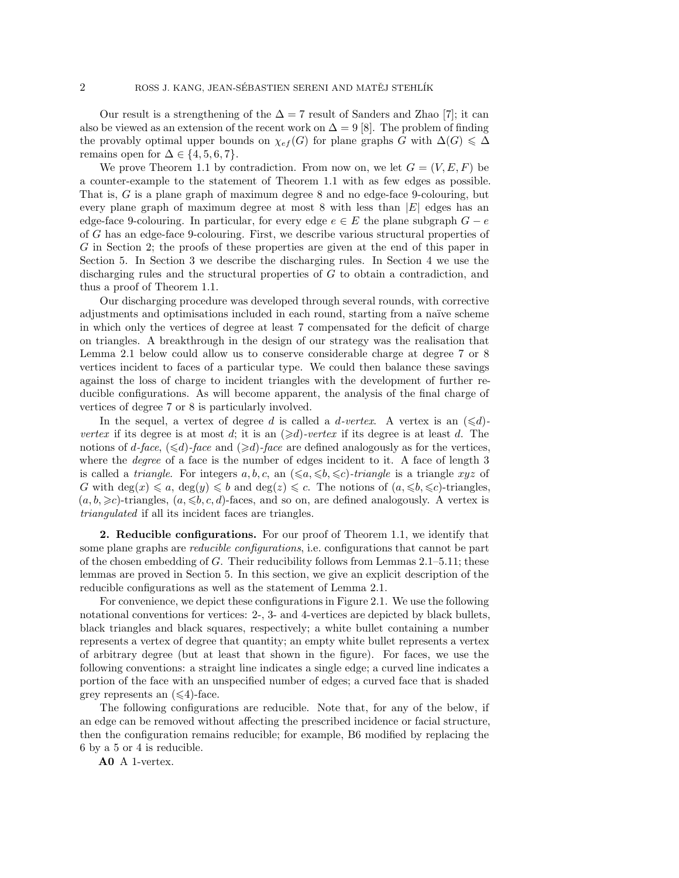Our result is a strengthening of the  $\Delta = 7$  result of Sanders and Zhao [7]; it can also be viewed as an extension of the recent work on  $\Delta = 9$  [8]. The problem of finding the provably optimal upper bounds on  $\chi_{ef}(G)$  for plane graphs G with  $\Delta(G) \leq \Delta$ remains open for  $\Delta \in \{4, 5, 6, 7\}$ .

We prove Theorem 1.1 by contradiction. From now on, we let  $G = (V, E, F)$  be a counter-example to the statement of Theorem 1.1 with as few edges as possible. That is, G is a plane graph of maximum degree 8 and no edge-face 9-colouring, but every plane graph of maximum degree at most  $8$  with less than  $|E|$  edges has an edge-face 9-colouring. In particular, for every edge  $e \in E$  the plane subgraph  $G - e$ of G has an edge-face 9-colouring. First, we describe various structural properties of G in Section 2; the proofs of these properties are given at the end of this paper in Section 5. In Section 3 we describe the discharging rules. In Section 4 we use the discharging rules and the structural properties of G to obtain a contradiction, and thus a proof of Theorem 1.1.

Our discharging procedure was developed through several rounds, with corrective adjustments and optimisations included in each round, starting from a naïve scheme in which only the vertices of degree at least 7 compensated for the deficit of charge on triangles. A breakthrough in the design of our strategy was the realisation that Lemma 2.1 below could allow us to conserve considerable charge at degree 7 or 8 vertices incident to faces of a particular type. We could then balance these savings against the loss of charge to incident triangles with the development of further reducible configurations. As will become apparent, the analysis of the final charge of vertices of degree 7 or 8 is particularly involved.

In the sequel, a vertex of degree d is called a d-vertex. A vertex is an  $(\leq d)$ *vertex* if its degree is at most d; it is an  $(\ge d)$ *-vertex* if its degree is at least d. The notions of  $d$ -face,  $(\leq d)$ -face and  $(\geq d)$ -face are defined analogously as for the vertices, where the *degree* of a face is the number of edges incident to it. A face of length 3 is called a *triangle*. For integers a, b, c, an  $(\leq a, \leq b, \leq c)$ -triangle is a triangle xyz of G with  $\deg(x) \leq a$ ,  $\deg(y) \leq b$  and  $\deg(z) \leq c$ . The notions of  $(a, \leq b, \leq c)$ -triangles,  $(a, b, \geq c)$ -triangles,  $(a, \leq b, c, d)$ -faces, and so on, are defined analogously. A vertex is *triangulated* if all its incident faces are triangles.

**2. Reducible configurations.** For our proof of Theorem 1.1, we identify that some plane graphs are *reducible configurations*, i.e. configurations that cannot be part of the chosen embedding of G. Their reducibility follows from Lemmas 2.1–5.11; these lemmas are proved in Section 5. In this section, we give an explicit description of the reducible configurations as well as the statement of Lemma 2.1.

For convenience, we depict these configurations in Figure 2.1. We use the following notational conventions for vertices: 2-, 3- and 4-vertices are depicted by black bullets, black triangles and black squares, respectively; a white bullet containing a number represents a vertex of degree that quantity; an empty white bullet represents a vertex of arbitrary degree (but at least that shown in the figure). For faces, we use the following conventions: a straight line indicates a single edge; a curved line indicates a portion of the face with an unspecified number of edges; a curved face that is shaded grey represents an  $(\leq 4)$ -face.

The following configurations are reducible. Note that, for any of the below, if an edge can be removed without affecting the prescribed incidence or facial structure, then the configuration remains reducible; for example, B6 modified by replacing the 6 by a 5 or 4 is reducible.

**A0** A 1-vertex.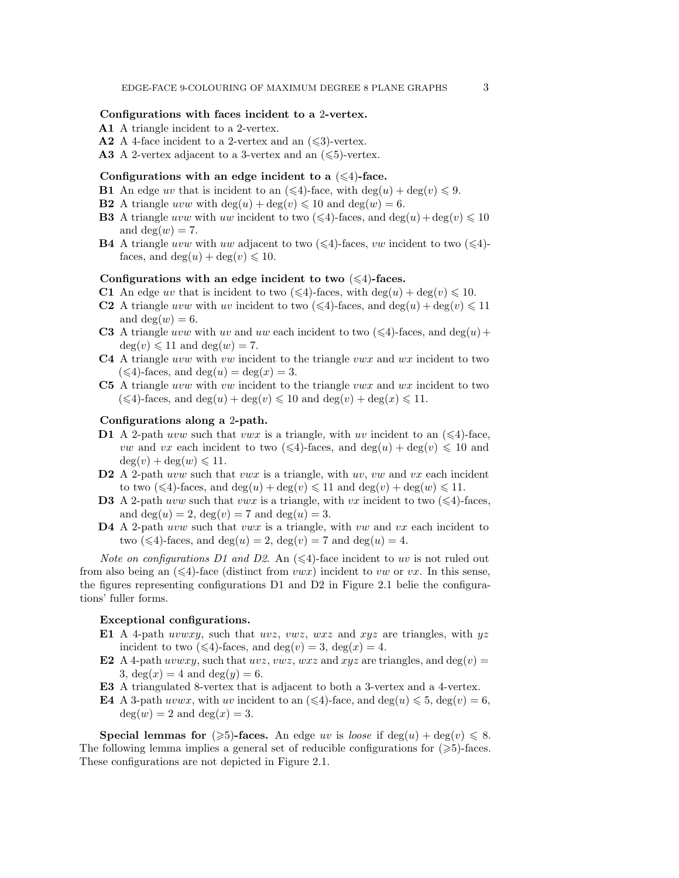## **Configurations with faces incident to a** 2**-vertex.**

- **A1** A triangle incident to a 2-vertex.
- **A2** A 4-face incident to a 2-vertex and an  $(\leq 3)$ -vertex.
- **A3** A 2-vertex adjacent to a 3-vertex and an  $(\leq 5)$ -vertex.

#### Configurations with an edge incident to a  $(\leq 4)$ -face.

- **B1** An edge uv that is incident to an  $(\leq 4)$ -face, with  $\deg(u) + \deg(v) \leq 9$ .
- **B2** A triangle uvw with  $\deg(u) + \deg(v) \leq 10$  and  $\deg(w) = 6$ .
- **B3** A triangle uvw with uw incident to two  $(\leq 4)$ -faces, and  $\deg(u) + \deg(v) \leq 10$ and  $deg(w) = 7$ .
- **B4** A triangle uvw with uw adjacent to two  $(\leq 4)$ -faces, vw incident to two  $(\leq 4)$ faces, and  $deg(u) + deg(v) \leq 10$ .

## Configurations with an edge incident to two  $(\leq 4)$ -faces.

- **C1** An edge uv that is incident to two  $(\leq 4)$ -faces, with deg(u) + deg(v)  $\leq 10$ .
- **C2** A triangle uvw with uv incident to two  $(\leq 4)$ -faces, and deg(u) + deg(v)  $\leq 11$ and deg $(w) = 6$ .
- **C3** A triangle uvw with uv and uw each incident to two  $(\leq 4)$ -faces, and deg(u) +  $deg(v) \leq 11$  and  $deg(w) = 7$ .
- **C4** A triangle uvw with vw incident to the triangle vwx and wx incident to two  $(\leq 4)$ -faces, and deg $(u) = \deg(x) = 3$ .
- **C5** A triangle uvw with vw incident to the triangle vwx and wx incident to two  $(\leq 4)$ -faces, and  $\deg(u) + \deg(v) \leq 10$  and  $\deg(v) + \deg(x) \leq 11$ .

### **Configurations along a** 2**-path.**

- **D1** A 2-path uvw such that vwx is a triangle, with uv incident to an  $(\leq 4)$ -face, *vw* and *vx* each incident to two  $(\leq 4)$ -faces, and  $\deg(u) + \deg(v) \leq 10$  and  $deg(v) + deg(w) \leq 11.$
- D2 A 2-path uvw such that vwx is a triangle, with uv, vw and vx each incident to two  $(\leq 4)$ -faces, and  $\deg(u) + \deg(v) \leq 11$  and  $\deg(v) + \deg(w) \leq 11$ .
- **D3** A 2-path uvw such that vwx is a triangle, with vx incident to two  $(\leq 4)$ -faces, and deg $(u) = 2$ , deg $(v) = 7$  and deg $(u) = 3$ .
- D4 A 2-path uvw such that vwx is a triangle, with vw and vx each incident to two  $(\leq 4)$ -faces, and  $deg(u) = 2$ ,  $deg(v) = 7$  and  $deg(u) = 4$ .

*Note on configurations D1 and D2.* An  $(\leq 4)$ -face incident to uv is not ruled out from also being an  $(\leq 4)$ -face (distinct from vwx) incident to vw or vx. In this sense, the figures representing configurations D1 and D2 in Figure 2.1 belie the configurations' fuller forms.

# **Exceptional configurations.**

- **E1** A 4-path uvwxy, such that uvz, vwz, wxz and xyz are triangles, with  $yz$ incident to two  $(\leq 4)$ -faces, and deg $(v) = 3$ , deg $(x) = 4$ .
- **E2** A 4-path uvwxy, such that uvz, vwz, wxz and xyz are triangles, and deg(v) = 3,  $deg(x) = 4$  and  $deg(y) = 6$ .
- **E3** A triangulated 8-vertex that is adjacent to both a 3-vertex and a 4-vertex.
- **E4** A 3-path uvwx, with uv incident to an  $(\leq 4)$ -face, and deg(u)  $\leq 5$ , deg(v) = 6,  $deg(w) = 2$  and  $deg(x) = 3$ .

**Special lemmas for**  $(\geqslant 5)$ -faces. An edge uv is *loose* if  $\deg(u) + \deg(v) \leqslant 8$ . The following lemma implies a general set of reducible configurations for  $(\geqslant 5)$ -faces. These configurations are not depicted in Figure 2.1.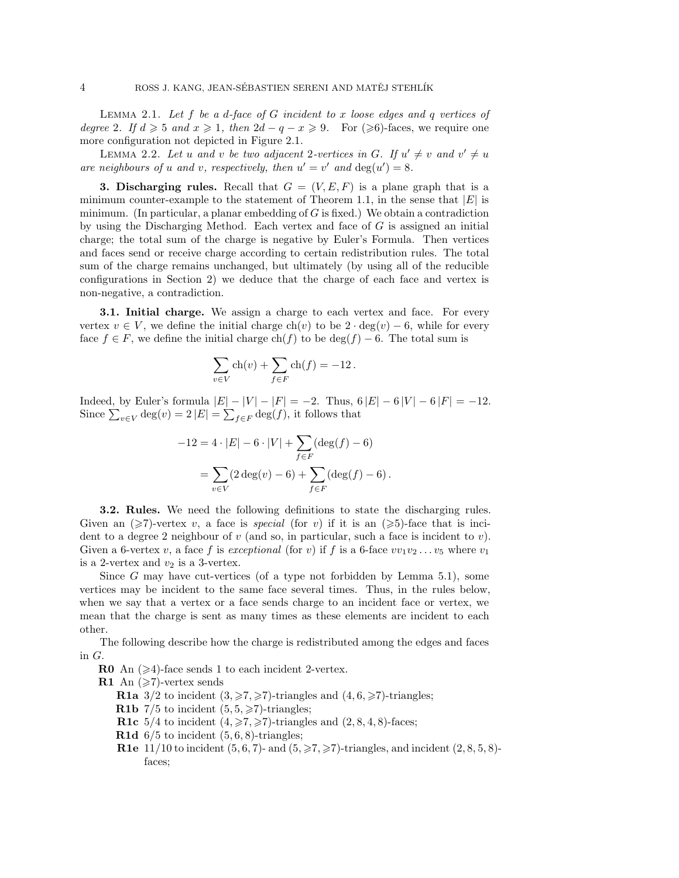Lemma 2.1. *Let* f *be a* d*-face of* G *incident to* x *loose edges and* q *vertices of degree* 2. If  $d \geq 5$  and  $x \geq 1$ , then  $2d - q - x \geq 9$ . For  $(\geq 6)$ -faces, we require one more configuration not depicted in Figure 2.1.

LEMMA 2.2. Let u and v be two adjacent 2-vertices in G. If  $u' \neq v$  and  $v' \neq u$ are neighbours of u and v, respectively, then  $u' = v'$  and  $deg(u') = 8$ .

**3. Discharging rules.** Recall that  $G = (V, E, F)$  is a plane graph that is a minimum counter-example to the statement of Theorem 1.1, in the sense that  $|E|$  is minimum. (In particular, a planar embedding of  $G$  is fixed.) We obtain a contradiction by using the Discharging Method. Each vertex and face of  $G$  is assigned an initial charge; the total sum of the charge is negative by Euler's Formula. Then vertices and faces send or receive charge according to certain redistribution rules. The total sum of the charge remains unchanged, but ultimately (by using all of the reducible configurations in Section 2) we deduce that the charge of each face and vertex is non-negative, a contradiction.

**3.1. Initial charge.** We assign a charge to each vertex and face. For every vertex  $v \in V$ , we define the initial charge ch(v) to be  $2 \cdot deg(v) - 6$ , while for every face  $f \in F$ , we define the initial charge ch(f) to be deg(f) – 6. The total sum is

$$
\sum_{v \in V} \text{ch}(v) + \sum_{f \in F} \text{ch}(f) = -12.
$$

Indeed, by Euler's formula  $|E| - |V| - |F| = -2$ . Thus,  $6|E| - 6|V| - 6|F| = -12$ . Since  $\sum_{v \in V} \deg(v) = 2 |E| = \sum_{f \in F} \deg(f)$ , it follows that

$$
-12 = 4 \cdot |E| - 6 \cdot |V| + \sum_{f \in F} (\deg(f) - 6)
$$

$$
= \sum_{v \in V} (2 \deg(v) - 6) + \sum_{f \in F} (\deg(f) - 6).
$$

**3.2. Rules.** We need the following definitions to state the discharging rules. Given an  $(\geq 7)$ -vertex v, a face is *special* (for v) if it is an  $(\geq 5)$ -face that is incident to a degree 2 neighbour of  $v$  (and so, in particular, such a face is incident to  $v$ ). Given a 6-vertex v, a face f is *exceptional* (for v) if f is a 6-face  $vv_1v_2...v_5$  where  $v_1$ is a 2-vertex and  $v_2$  is a 3-vertex.

Since G may have cut-vertices (of a type not forbidden by Lemma 5.1), some vertices may be incident to the same face several times. Thus, in the rules below, when we say that a vertex or a face sends charge to an incident face or vertex, we mean that the charge is sent as many times as these elements are incident to each other.

The following describe how the charge is redistributed among the edges and faces in G.

**R0** An  $(\geq 4)$ -face sends 1 to each incident 2-vertex.

**R1** An  $(\geqslant 7)$ -vertex sends

**R1a**  $3/2$  to incident  $(3, \geq 7, \geq 7)$ -triangles and  $(4, 6, \geq 7)$ -triangles;

**R1b**  $7/5$  to incident  $(5, 5, \geq 7)$ -triangles;

- **R1c** 5/4 to incident  $(4, \geq 7, \geq 7)$ -triangles and  $(2, 8, 4, 8)$ -faces;
- **R1d**  $6/5$  to incident  $(5, 6, 8)$ -triangles;
- **R1e**  $11/10$  to incident  $(5, 6, 7)$  and  $(5, \geq 7, \geq 7)$ -triangles, and incident  $(2, 8, 5, 8)$ faces;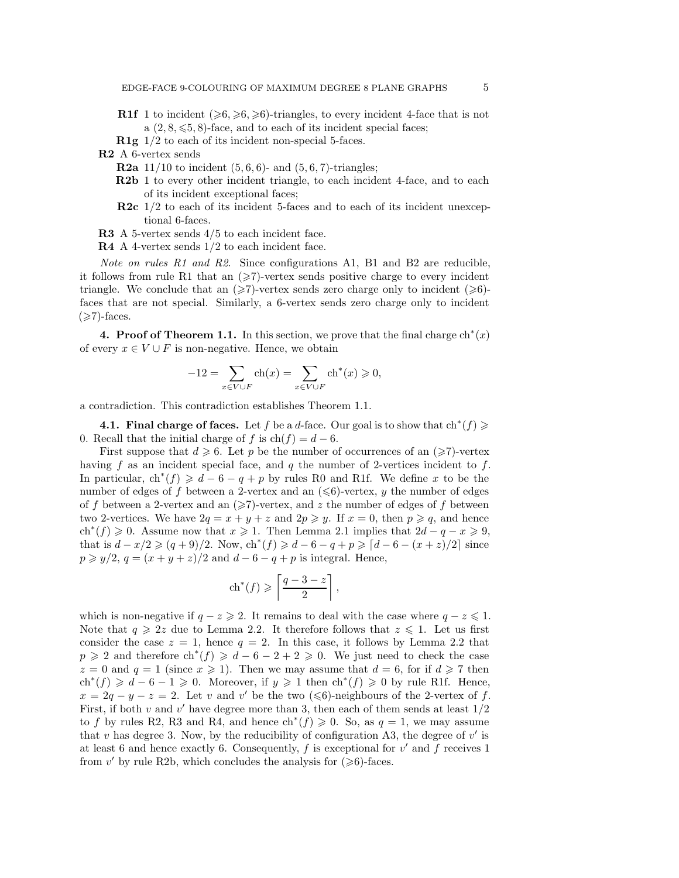- **R1f** 1 to incident  $(\geqslant 6, \geqslant 6, \geqslant 6)$ -triangles, to every incident 4-face that is not a  $(2, 8, \leq 5, 8)$ -face, and to each of its incident special faces;
- **R1g** 1/2 to each of its incident non-special 5-faces.

**R2** A 6-vertex sends

- **R2a**  $11/10$  to incident  $(5, 6, 6)$  and  $(5, 6, 7)$ -triangles;
- **R2b** 1 to every other incident triangle, to each incident 4-face, and to each of its incident exceptional faces;
- **R2c** 1/2 to each of its incident 5-faces and to each of its incident unexceptional 6-faces.
- **R3** A 5-vertex sends 4/5 to each incident face.
- **R4** A 4-vertex sends 1/2 to each incident face.

*Note on rules R1 and R2*. Since configurations A1, B1 and B2 are reducible, it follows from rule R1 that an  $\geq$ 7)-vertex sends positive charge to every incident triangle. We conclude that an  $(\geq 7)$ -vertex sends zero charge only to incident  $(\geq 6)$ faces that are not special. Similarly, a 6-vertex sends zero charge only to incident  $(\geqslant 7)$ -faces.

**4. Proof of Theorem 1.1.** In this section, we prove that the final charge  $\mathrm{ch}^*(x)$ of every  $x \in V \cup F$  is non-negative. Hence, we obtain

$$
-12 = \sum_{x \in V \cup F} \operatorname{ch}(x) = \sum_{x \in V \cup F} \operatorname{ch}^*(x) \ge 0,
$$

a contradiction. This contradiction establishes Theorem 1.1.

**4.1. Final charge of faces.** Let f be a d-face. Our goal is to show that  $\text{ch}^*(f) \geqslant$ 0. Recall that the initial charge of f is  $ch(f) = d - 6$ .

First suppose that  $d \ge 6$ . Let p be the number of occurrences of an  $(\ge 7)$ -vertex having f as an incident special face, and q the number of 2-vertices incident to f. In particular,  $\text{ch}^*(f) \geq d - 6 - q + p$  by rules R0 and R1f. We define x to be the number of edges of f between a 2-vertex and an  $(\leq 6)$ -vertex, y the number of edges of f between a 2-vertex and an  $(\geqslant 7)$ -vertex, and z the number of edges of f between two 2-vertices. We have  $2q = x + y + z$  and  $2p \geq y$ . If  $x = 0$ , then  $p \geq q$ , and hence ch<sup>\*</sup>(f)  $\geq 0$ . Assume now that  $x \geq 1$ . Then Lemma 2.1 implies that  $2d - q - x \geq 9$ , that is  $d - x/2 \geqslant (q+9)/2$ . Now,  $\text{ch}^*(f) \geqslant d - 6 - q + p \geqslant \lceil d - 6 - (x+z)/2 \rceil$  since  $p \geq y/2$ ,  $q = (x + y + z)/2$  and  $d - 6 - q + p$  is integral. Hence,

$$
\operatorname{ch}^*(f) \geqslant \left\lceil \frac{q-3-z}{2} \right\rceil,
$$

which is non-negative if  $q - z \geqslant 2$ . It remains to deal with the case where  $q - z \leqslant 1$ . Note that  $q \geq 2z$  due to Lemma 2.2. It therefore follows that  $z \leq 1$ . Let us first consider the case  $z = 1$ , hence  $q = 2$ . In this case, it follows by Lemma 2.2 that  $p \geqslant 2$  and therefore  $\text{ch}^*(f) \geqslant d - 6 - 2 + 2 \geqslant 0$ . We just need to check the case  $z = 0$  and  $q = 1$  (since  $x \ge 1$ ). Then we may assume that  $d = 6$ , for if  $d \ge 7$  then  $\text{ch}^*(f) \geq d - 6 - 1 \geq 0$ . Moreover, if  $y \geq 1$  then  $\text{ch}^*(f) \geq 0$  by rule R1f. Hence,  $x = 2q - y - z = 2$ . Let v and v' be the two ( $\leq 6$ )-neighbours of the 2-vertex of f. First, if both v and v' have degree more than 3, then each of them sends at least  $1/2$ to f by rules R2, R3 and R4, and hence  $\text{ch}^*(f) \geq 0$ . So, as  $q = 1$ , we may assume that v has degree 3. Now, by the reducibility of configuration A3, the degree of  $v'$  is at least 6 and hence exactly 6. Consequently,  $f$  is exceptional for  $v'$  and  $f$  receives 1 from  $v'$  by rule R2b, which concludes the analysis for  $(\geq 6)$ -faces.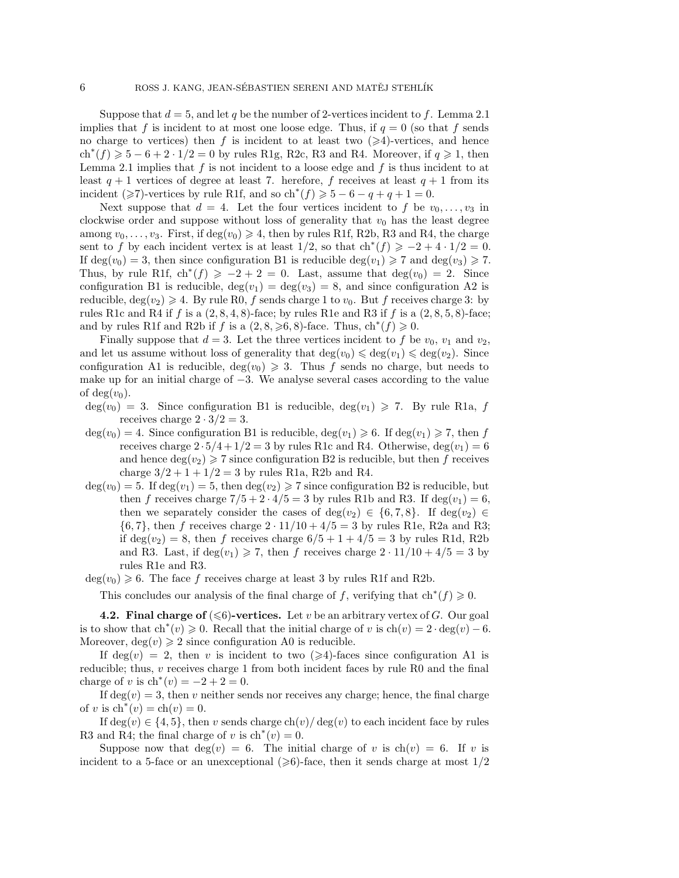Suppose that  $d = 5$ , and let q be the number of 2-vertices incident to f. Lemma 2.1 implies that f is incident to at most one loose edge. Thus, if  $q = 0$  (so that f sends no charge to vertices) then f is incident to at least two  $(\geq 4)$ -vertices, and hence  $ch<sup>*</sup>(f) \ge 5 - 6 + 2 \cdot 1/2 = 0$  by rules R1g, R2c, R3 and R4. Moreover, if  $q \ge 1$ , then Lemma 2.1 implies that  $f$  is not incident to a loose edge and  $f$  is thus incident to at least  $q + 1$  vertices of degree at least 7. herefore, f receives at least  $q + 1$  from its incident ( $\geq 7$ )-vertices by rule R1f, and so  $\text{ch}^*(f) \geq 5 - 6 - q + q + 1 = 0$ .

Next suppose that  $d = 4$ . Let the four vertices incident to f be  $v_0, \ldots, v_3$  in clockwise order and suppose without loss of generality that  $v_0$  has the least degree among  $v_0, \ldots, v_3$ . First, if  $\deg(v_0) \geq 4$ , then by rules R1f, R2b, R3 and R4, the charge sent to f by each incident vertex is at least  $1/2$ , so that  $\text{ch}^*(f) \geq -2+4 \cdot 1/2 = 0$ . If  $deg(v_0) = 3$ , then since configuration B1 is reducible  $deg(v_1) \geq 7$  and  $deg(v_3) \geq 7$ . Thus, by rule R1f,  $\text{ch}^*(f) \geq -2 + 2 = 0$ . Last, assume that  $\deg(v_0) = 2$ . Since configuration B1 is reducible,  $\deg(v_1) = \deg(v_3) = 8$ , and since configuration A2 is reducible,  $deg(v_2) \geqslant 4$ . By rule R0, f sends charge 1 to  $v_0$ . But f receives charge 3: by rules R1c and R4 if f is a  $(2, 8, 4, 8)$ -face; by rules R1e and R3 if f is a  $(2, 8, 5, 8)$ -face; and by rules R1f and R2b if f is a  $(2, 8, \geq 6, 8)$ -face. Thus,  $\text{ch}^*(f) \geq 0$ .

Finally suppose that  $d = 3$ . Let the three vertices incident to f be  $v_0$ ,  $v_1$  and  $v_2$ , and let us assume without loss of generality that  $\deg(v_0) \leq \deg(v_1) \leq \deg(v_2)$ . Since configuration A1 is reducible,  $deg(v_0) \geq 3$ . Thus f sends no charge, but needs to make up for an initial charge of  $-3$ . We analyse several cases according to the value of deg $(v_0)$ .

 $deg(v_0) = 3$ . Since configuration B1 is reducible,  $deg(v_1) \geq 7$ . By rule R1a, f receives charge  $2 \cdot 3/2 = 3$ .

- $deg(v_0) = 4$ . Since configuration B1 is reducible,  $deg(v_1) \geq 6$ . If  $deg(v_1) \geq 7$ , then f receives charge  $2 \cdot 5/4 + 1/2 = 3$  by rules R1c and R4. Otherwise,  $deg(v_1)=6$ and hence  $deg(v_2) \geq 7$  since configuration B2 is reducible, but then f receives charge  $3/2 + 1 + 1/2 = 3$  by rules R1a, R2b and R4.
- $deg(v_0) = 5$ . If  $deg(v_1) = 5$ , then  $deg(v_2) \ge 7$  since configuration B2 is reducible, but then f receives charge  $7/5 + 2 \cdot 4/5 = 3$  by rules R1b and R3. If deg $(v_1) = 6$ , then we separately consider the cases of deg( $v_2$ )  $\in$  {6,7,8}. If deg( $v_2$ )  $\in$  $\{6, 7\}$ , then f receives charge  $2 \cdot 11/10 + 4/5 = 3$  by rules R1e, R2a and R3; if deg( $v_2$ ) = 8, then f receives charge  $6/5 + 1 + 4/5 = 3$  by rules R1d, R2b and R3. Last, if  $deg(v_1) \geq 7$ , then f receives charge  $2 \cdot 11/10 + 4/5 = 3$  by rules R1e and R3.

 $deg(v_0) \geq 6$ . The face f receives charge at least 3 by rules R1f and R2b.

This concludes our analysis of the final charge of f, verifying that  $\text{ch}^*(f) \geq 0$ .

**4.2. Final charge of**  $(\leq 6)$ -vertices. Let v be an arbitrary vertex of G. Our goal is to show that  $\text{ch}^*(v) \geqslant 0$ . Recall that the initial charge of v is  $\text{ch}(v)=2 \cdot \text{deg}(v)-6$ . Moreover,  $deg(v) \geq 2$  since configuration A0 is reducible.

If  $deg(v) = 2$ , then v is incident to two  $(\geq 4)$ -faces since configuration A1 is reducible; thus, v receives charge 1 from both incident faces by rule R0 and the final charge of v is  $\text{ch}^*(v) = -2 + 2 = 0$ .

If  $\deg(v) = 3$ , then v neither sends nor receives any charge; hence, the final charge of v is  $\ch^*(v) = \ch(v) = 0$ .

If  $\deg(v) \in \{4, 5\}$ , then v sends charge  $\text{ch}(v) / \deg(v)$  to each incident face by rules R3 and R4; the final charge of v is  $\text{ch}^*(v) = 0$ .

Suppose now that  $deg(v) = 6$ . The initial charge of v is  $ch(v) = 6$ . If v is incident to a 5-face or an unexceptional  $(\geqslant 6)$ -face, then it sends charge at most  $1/2$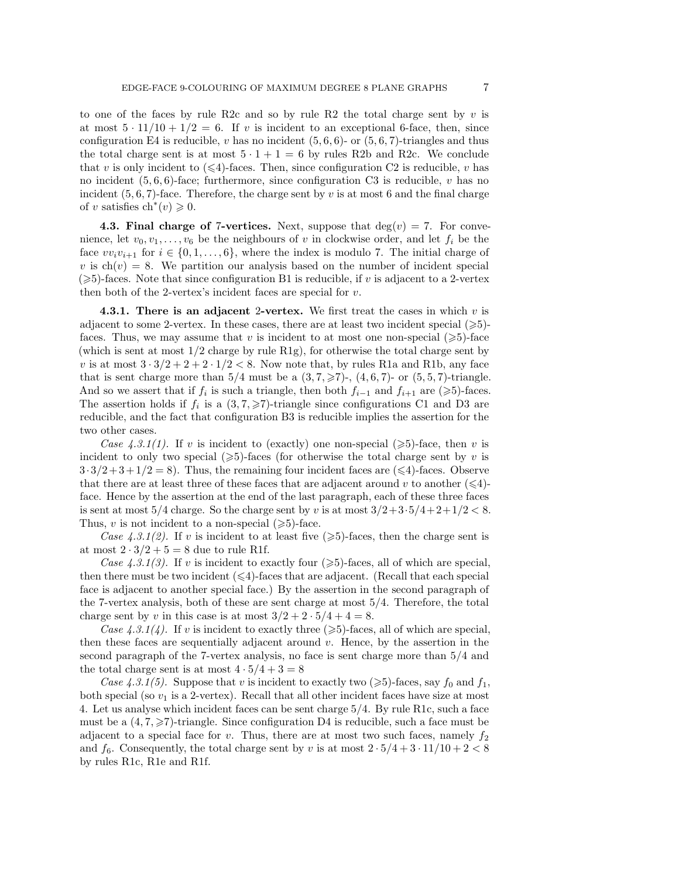to one of the faces by rule R2c and so by rule R2 the total charge sent by  $v$  is at most  $5 \cdot 11/10 + 1/2 = 6$ . If v is incident to an exceptional 6-face, then, since configuration E4 is reducible, v has no incident  $(5, 6, 6)$ - or  $(5, 6, 7)$ -triangles and thus the total charge sent is at most  $5 \cdot 1 + 1 = 6$  by rules R2b and R2c. We conclude that v is only incident to  $(\leq 4)$ -faces. Then, since configuration C2 is reducible, v has no incident  $(5, 6, 6)$ -face; furthermore, since configuration C3 is reducible, v has no incident  $(5, 6, 7)$ -face. Therefore, the charge sent by v is at most 6 and the final charge of v satisfies  $\mathrm{ch}^*(v) \geqslant 0$ .

**4.3. Final charge of 7-vertices.** Next, suppose that  $deg(v) = 7$ . For convenience, let  $v_0, v_1, \ldots, v_6$  be the neighbours of v in clockwise order, and let  $f_i$  be the face  $vv_i v_{i+1}$  for  $i \in \{0, 1, \ldots, 6\}$ , where the index is modulo 7. The initial charge of v is  $ch(v) = 8$ . We partition our analysis based on the number of incident special  $(\geq 5)$ -faces. Note that since configuration B1 is reducible, if v is adjacent to a 2-vertex then both of the 2-vertex's incident faces are special for  $v$ .

**4.3.1. There is an adjacent** 2**-vertex.** We first treat the cases in which v is adjacent to some 2-vertex. In these cases, there are at least two incident special  $(\geqslant 5)$ faces. Thus, we may assume that v is incident to at most one non-special  $(\geq 5)$ -face (which is sent at most  $1/2$  charge by rule  $R1g$ ), for otherwise the total charge sent by v is at most  $3 \cdot 3/2 + 2 + 2 \cdot 1/2 < 8$ . Now note that, by rules R1a and R1b, any face that is sent charge more than  $5/4$  must be a  $(3, 7, \geq 7)$ -,  $(4, 6, 7)$ - or  $(5, 5, 7)$ -triangle. And so we assert that if  $f_i$  is such a triangle, then both  $f_{i-1}$  and  $f_{i+1}$  are ( $\geq 5$ )-faces. The assertion holds if  $f_i$  is a  $(3, 7, \geq 7)$ -triangle since configurations C1 and D3 are reducible, and the fact that configuration B3 is reducible implies the assertion for the two other cases.

*Case 4.3.1(1)*. If v is incident to (exactly) one non-special  $(\geq 5)$ -face, then v is incident to only two special  $(\geqslant 5)$ -faces (for otherwise the total charge sent by v is  $3 \cdot 3/2 + 3 + 1/2 = 8$ . Thus, the remaining four incident faces are ( $\leq 4$ )-faces. Observe that there are at least three of these faces that are adjacent around v to another  $(\leq 4)$ face. Hence by the assertion at the end of the last paragraph, each of these three faces is sent at most  $5/4$  charge. So the charge sent by v is at most  $3/2+3.5/4+2+1/2 < 8$ . Thus,  $v$  is not incident to a non-special  $(\geq 5)$ -face.

*Case 4.3.1(2)*. If v is incident to at least five  $(\geq 5)$ -faces, then the charge sent is at most  $2 \cdot 3/2 + 5 = 8$  due to rule R1f.

*Case 4.3.1(3)*. If v is incident to exactly four  $(\geqslant 5)$ -faces, all of which are special, then there must be two incident  $(\leq 4)$ -faces that are adjacent. (Recall that each special face is adjacent to another special face.) By the assertion in the second paragraph of the 7-vertex analysis, both of these are sent charge at most 5/4. Therefore, the total charge sent by v in this case is at most  $3/2 + 2 \cdot 5/4 + 4 = 8$ .

*Case 4.3.1(4)*. If v is incident to exactly three ( $\geqslant$ 5)-faces, all of which are special, then these faces are sequentially adjacent around v. Hence, by the assertion in the second paragraph of the 7-vertex analysis, no face is sent charge more than 5/4 and the total charge sent is at most  $4 \cdot 5/4 + 3 = 8$ 

*Case 4.3.1(5).* Suppose that v is incident to exactly two ( $\geq 5$ )-faces, say  $f_0$  and  $f_1$ , both special (so  $v_1$  is a 2-vertex). Recall that all other incident faces have size at most 4. Let us analyse which incident faces can be sent charge 5/4. By rule R1c, such a face must be a  $(4, 7, \geq 7)$ -triangle. Since configuration D4 is reducible, such a face must be adjacent to a special face for v. Thus, there are at most two such faces, namely  $f_2$ and  $f_6$ . Consequently, the total charge sent by v is at most  $2 \cdot 5/4 + 3 \cdot 11/10 + 2 < 8$ by rules R1c, R1e and R1f.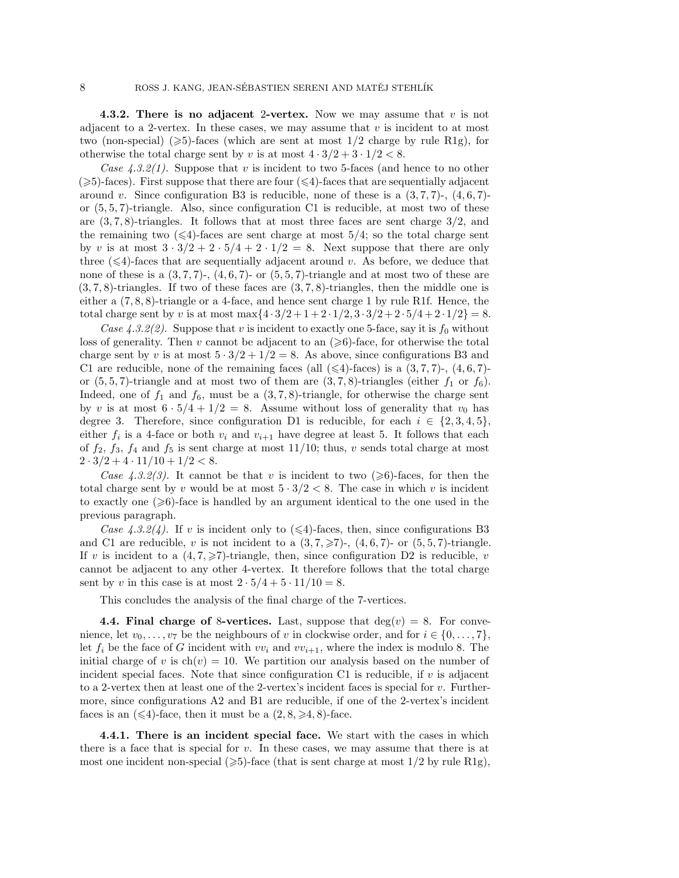**4.3.2. There is no adjacent** 2**-vertex.** Now we may assume that v is not adjacent to a 2-vertex. In these cases, we may assume that  $v$  is incident to at most two (non-special)  $(\geqslant 5)$ -faces (which are sent at most 1/2 charge by rule R1g), for otherwise the total charge sent by v is at most  $4 \cdot 3/2 + 3 \cdot 1/2 < 8$ .

*Case 4.3.2(1).* Suppose that v is incident to two 5-faces (and hence to no other  $(\geqslant 5)$ -faces). First suppose that there are four  $(\leqslant 4)$ -faces that are sequentially adjacent around v. Since configuration B3 is reducible, none of these is a  $(3, 7, 7)$ -,  $(4, 6, 7)$ or  $(5, 5, 7)$ -triangle. Also, since configuration C1 is reducible, at most two of these are  $(3, 7, 8)$ -triangles. It follows that at most three faces are sent charge  $3/2$ , and the remaining two  $(\leq 4)$ -faces are sent charge at most 5/4; so the total charge sent by v is at most  $3 \cdot 3/2 + 2 \cdot 5/4 + 2 \cdot 1/2 = 8$ . Next suppose that there are only three  $(\leq 4)$ -faces that are sequentially adjacent around v. As before, we deduce that none of these is a  $(3, 7, 7)$ -,  $(4, 6, 7)$ - or  $(5, 5, 7)$ -triangle and at most two of these are  $(3, 7, 8)$ -triangles. If two of these faces are  $(3, 7, 8)$ -triangles, then the middle one is either a (7, 8, 8)-triangle or a 4-face, and hence sent charge 1 by rule R1f. Hence, the total charge sent by v is at most max $\{4 \cdot 3/2 + 1 + 2 \cdot 1/2, 3 \cdot 3/2 + 2 \cdot 5/4 + 2 \cdot 1/2\} = 8$ .

*Case 4.3.2(2).* Suppose that v is incident to exactly one 5-face, say it is  $f_0$  without loss of generality. Then v cannot be adjacent to an  $(\geq 6)$ -face, for otherwise the total charge sent by v is at most  $5 \cdot 3/2 + 1/2 = 8$ . As above, since configurations B3 and C1 are reducible, none of the remaining faces (all  $(\leq 4)$ -faces) is a  $(3, 7, 7)$ -,  $(4, 6, 7)$ or  $(5, 5, 7)$ -triangle and at most two of them are  $(3, 7, 8)$ -triangles (either  $f_1$  or  $f_6$ ). Indeed, one of  $f_1$  and  $f_6$ , must be a  $(3, 7, 8)$ -triangle, for otherwise the charge sent by v is at most  $6 \cdot 5/4 + 1/2 = 8$ . Assume without loss of generality that  $v_0$  has degree 3. Therefore, since configuration D1 is reducible, for each  $i \in \{2, 3, 4, 5\}$ , either  $f_i$  is a 4-face or both  $v_i$  and  $v_{i+1}$  have degree at least 5. It follows that each of  $f_2$ ,  $f_3$ ,  $f_4$  and  $f_5$  is sent charge at most 11/10; thus, v sends total charge at most  $2 \cdot 3/2 + 4 \cdot 11/10 + 1/2 < 8.$ 

*Case 4.3.2(3)*. It cannot be that v is incident to two  $(\geq 6)$ -faces, for then the total charge sent by v would be at most  $5 \cdot 3/2 < 8$ . The case in which v is incident to exactly one  $(\geqslant 6)$ -face is handled by an argument identical to the one used in the previous paragraph.

*Case 4.3.2(4).* If v is incident only to  $(\leq 4)$ -faces, then, since configurations B3 and C1 are reducible, v is not incident to a  $(3, 7, \geq 7)$ -,  $(4, 6, 7)$ - or  $(5, 5, 7)$ -triangle. If v is incident to a  $(4, 7, \geq 7)$ -triangle, then, since configuration D2 is reducible, v cannot be adjacent to any other 4-vertex. It therefore follows that the total charge sent by v in this case is at most  $2 \cdot 5/4 + 5 \cdot 11/10 = 8$ .

This concludes the analysis of the final charge of the 7-vertices.

**4.4. Final charge of 8-vertices.** Last, suppose that  $deg(v) = 8$ . For convenience, let  $v_0, \ldots, v_7$  be the neighbours of v in clockwise order, and for  $i \in \{0, \ldots, 7\}$ , let  $f_i$  be the face of G incident with  $vv_i$  and  $vv_{i+1}$ , where the index is modulo 8. The initial charge of v is  $ch(v) = 10$ . We partition our analysis based on the number of incident special faces. Note that since configuration C1 is reducible, if  $v$  is adjacent to a 2-vertex then at least one of the 2-vertex's incident faces is special for  $v$ . Furthermore, since configurations A2 and B1 are reducible, if one of the 2-vertex's incident faces is an  $(\leq 4)$ -face, then it must be a  $(2, 8, \geq 4, 8)$ -face.

**4.4.1. There is an incident special face.** We start with the cases in which there is a face that is special for v. In these cases, we may assume that there is at most one incident non-special ( $\geqslant$ 5)-face (that is sent charge at most 1/2 by rule R1g),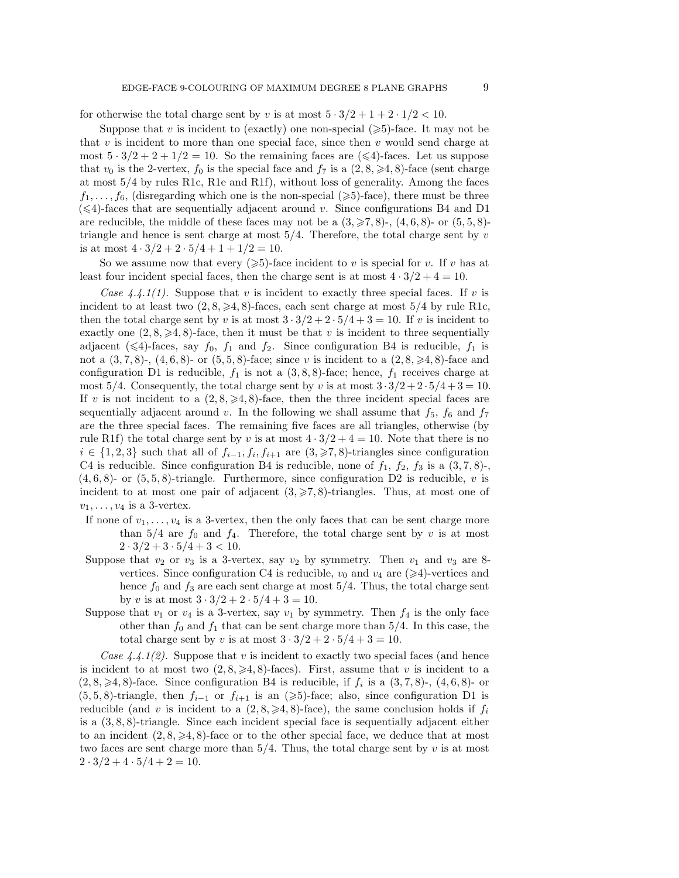for otherwise the total charge sent by v is at most  $5 \cdot 3/2 + 1 + 2 \cdot 1/2 < 10$ .

Suppose that v is incident to (exactly) one non-special  $(\geq 5)$ -face. It may not be that  $v$  is incident to more than one special face, since then  $v$  would send charge at most  $5 \cdot 3/2 + 2 + 1/2 = 10$ . So the remaining faces are  $(\leq 4)$ -faces. Let us suppose that  $v_0$  is the 2-vertex,  $f_0$  is the special face and  $f_7$  is a  $(2, 8, \geq 4, 8)$ -face (sent charge at most 5/4 by rules R1c, R1e and R1f), without loss of generality. Among the faces  $f_1, \ldots, f_6$ , (disregarding which one is the non-special ( $\geq 5$ )-face), there must be three  $(\leq 4)$ -faces that are sequentially adjacent around v. Since configurations B4 and D1 are reducible, the middle of these faces may not be a  $(3,\geqslant 7,8)$ -,  $(4,6,8)$ - or  $(5,5,8)$ triangle and hence is sent charge at most  $5/4$ . Therefore, the total charge sent by v is at most  $4 \cdot 3/2 + 2 \cdot 5/4 + 1 + 1/2 = 10$ .

So we assume now that every  $(\geqslant 5)$ -face incident to v is special for v. If v has at least four incident special faces, then the charge sent is at most  $4 \cdot 3/2 + 4 = 10$ .

*Case 4.4.1(1).* Suppose that v is incident to exactly three special faces. If v is incident to at least two  $(2, 8, \geq 4, 8)$ -faces, each sent charge at most  $5/4$  by rule R1c, then the total charge sent by v is at most  $3 \cdot 3/2 + 2 \cdot 5/4 + 3 = 10$ . If v is incident to exactly one  $(2, 8, \geq 4, 8)$ -face, then it must be that v is incident to three sequentially adjacent ( $\leq 4$ )-faces, say  $f_0$ ,  $f_1$  and  $f_2$ . Since configuration B4 is reducible,  $f_1$  is not a  $(3, 7, 8)$ -,  $(4, 6, 8)$ - or  $(5, 5, 8)$ -face; since v is incident to a  $(2, 8, \geq 4, 8)$ -face and configuration D1 is reducible,  $f_1$  is not a  $(3, 8, 8)$ -face; hence,  $f_1$  receives charge at most  $5/4$ . Consequently, the total charge sent by v is at most  $3 \cdot 3/2 + 2 \cdot 5/4 + 3 = 10$ . If v is not incident to a  $(2, 8, \geq 4, 8)$ -face, then the three incident special faces are sequentially adjacent around v. In the following we shall assume that  $f_5$ ,  $f_6$  and  $f_7$ are the three special faces. The remaining five faces are all triangles, otherwise (by rule R1f) the total charge sent by v is at most  $4 \cdot 3/2 + 4 = 10$ . Note that there is no  $i \in \{1, 2, 3\}$  such that all of  $f_{i-1}, f_i, f_{i+1}$  are  $(3, ≥7, 8)$ -triangles since configuration C4 is reducible. Since configuration B4 is reducible, none of  $f_1$ ,  $f_2$ ,  $f_3$  is a  $(3, 7, 8)$ -,  $(4, 6, 8)$ - or  $(5, 5, 8)$ -triangle. Furthermore, since configuration D2 is reducible, v is incident to at most one pair of adjacent  $(3, \geq 7, 8)$ -triangles. Thus, at most one of  $v_1,\ldots,v_4$  is a 3-vertex.

- If none of  $v_1, \ldots, v_4$  is a 3-vertex, then the only faces that can be sent charge more than  $5/4$  are  $f_0$  and  $f_4$ . Therefore, the total charge sent by v is at most  $2 \cdot 3/2 + 3 \cdot 5/4 + 3 < 10$ .
- Suppose that  $v_2$  or  $v_3$  is a 3-vertex, say  $v_2$  by symmetry. Then  $v_1$  and  $v_3$  are 8vertices. Since configuration C4 is reducible,  $v_0$  and  $v_4$  are  $(\geq 4)$ -vertices and hence  $f_0$  and  $f_3$  are each sent charge at most  $5/4$ . Thus, the total charge sent by v is at most  $3 \cdot 3/2 + 2 \cdot 5/4 + 3 = 10$ .
- Suppose that  $v_1$  or  $v_4$  is a 3-vertex, say  $v_1$  by symmetry. Then  $f_4$  is the only face other than  $f_0$  and  $f_1$  that can be sent charge more than 5/4. In this case, the total charge sent by v is at most  $3 \cdot 3/2 + 2 \cdot 5/4 + 3 = 10$ .

*Case 4.4.1(2).* Suppose that v is incident to exactly two special faces (and hence is incident to at most two  $(2, 8, \geq 4, 8)$ -faces). First, assume that v is incident to a  $(2, 8, \geq 4, 8)$ -face. Since configuration B4 is reducible, if  $f_i$  is a  $(3, 7, 8)$ -,  $(4, 6, 8)$ - or  $(5, 5, 8)$ -triangle, then  $f_{i-1}$  or  $f_{i+1}$  is an  $(\geq 5)$ -face; also, since configuration D1 is reducible (and v is incident to a  $(2, 8, \geq 4, 8)$ -face), the same conclusion holds if  $f_i$ is a (3, 8, 8)-triangle. Since each incident special face is sequentially adjacent either to an incident  $(2, 8, \geq 4, 8)$ -face or to the other special face, we deduce that at most two faces are sent charge more than  $5/4$ . Thus, the total charge sent by v is at most  $2 \cdot 3/2 + 4 \cdot 5/4 + 2 = 10.$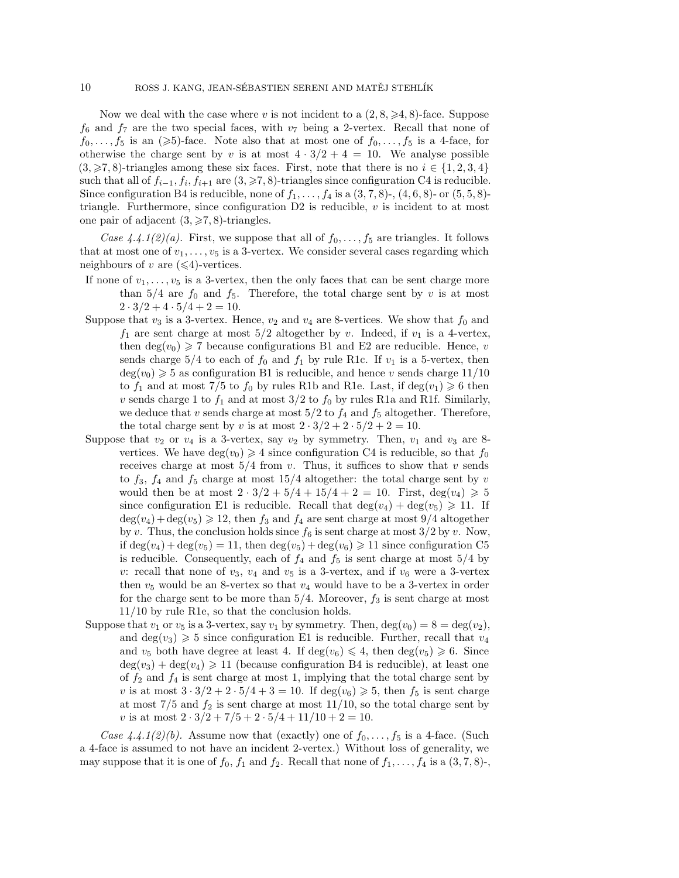Now we deal with the case where v is not incident to a  $(2, 8, \geq 4, 8)$ -face. Suppose  $f_6$  and  $f_7$  are the two special faces, with  $v_7$  being a 2-vertex. Recall that none of  $f_0, \ldots, f_5$  is an  $(\geq 5)$ -face. Note also that at most one of  $f_0, \ldots, f_5$  is a 4-face, for otherwise the charge sent by v is at most  $4 \cdot 3/2 + 4 = 10$ . We analyse possible  $(3,\geqslant7,8)$ -triangles among these six faces. First, note that there is no  $i \in \{1,2,3,4\}$ such that all of  $f_{i-1}, f_i, f_{i+1}$  are  $(3, \geq r, 8)$ -triangles since configuration C4 is reducible. Since configuration B4 is reducible, none of  $f_1, \ldots, f_4$  is a  $(3, 7, 8)$ -,  $(4, 6, 8)$ - or  $(5, 5, 8)$ triangle. Furthermore, since configuration  $D2$  is reducible, v is incident to at most one pair of adjacent  $(3, \geq 7, 8)$ -triangles.

*Case 4.4.1(2)(a).* First, we suppose that all of  $f_0, \ldots, f_5$  are triangles. It follows that at most one of  $v_1, \ldots, v_5$  is a 3-vertex. We consider several cases regarding which neighbours of v are  $(\leq 4)$ -vertices.

- If none of  $v_1, \ldots, v_5$  is a 3-vertex, then the only faces that can be sent charge more than  $5/4$  are  $f_0$  and  $f_5$ . Therefore, the total charge sent by v is at most  $2 \cdot 3/2 + 4 \cdot 5/4 + 2 = 10$ .
- Suppose that  $v_3$  is a 3-vertex. Hence,  $v_2$  and  $v_4$  are 8-vertices. We show that  $f_0$  and  $f_1$  are sent charge at most  $5/2$  altogether by v. Indeed, if  $v_1$  is a 4-vertex, then  $deg(v_0) \geq 7$  because configurations B1 and E2 are reducible. Hence, v sends charge  $5/4$  to each of  $f_0$  and  $f_1$  by rule R1c. If  $v_1$  is a 5-vertex, then  $deg(v_0) \geqslant 5$  as configuration B1 is reducible, and hence v sends charge  $11/10$ to  $f_1$  and at most 7/5 to  $f_0$  by rules R1b and R1e. Last, if  $deg(v_1) \geq 6$  then v sends charge 1 to  $f_1$  and at most  $3/2$  to  $f_0$  by rules R1a and R1f. Similarly, we deduce that v sends charge at most  $5/2$  to  $f_4$  and  $f_5$  altogether. Therefore, the total charge sent by v is at most  $2 \cdot 3/2 + 2 \cdot 5/2 + 2 = 10$ .
- Suppose that  $v_2$  or  $v_4$  is a 3-vertex, say  $v_2$  by symmetry. Then,  $v_1$  and  $v_3$  are 8vertices. We have  $deg(v_0) \geq 4$  since configuration C4 is reducible, so that  $f_0$ receives charge at most  $5/4$  from v. Thus, it suffices to show that v sends to  $f_3$ ,  $f_4$  and  $f_5$  charge at most 15/4 altogether: the total charge sent by v would then be at most  $2 \cdot 3/2 + 5/4 + 15/4 + 2 = 10$ . First,  $deg(v_4) \ge 5$ since configuration E1 is reducible. Recall that  $deg(v_4) + deg(v_5) \geq 11$ . If  $deg(v_4) + deg(v_5) \geq 12$ , then  $f_3$  and  $f_4$  are sent charge at most  $9/4$  altogether by v. Thus, the conclusion holds since  $f_6$  is sent charge at most  $3/2$  by v. Now, if  $deg(v_4) + deg(v_5) = 11$ , then  $deg(v_5) + deg(v_6) \ge 11$  since configuration C5 is reducible. Consequently, each of  $f_4$  and  $f_5$  is sent charge at most  $5/4$  by v: recall that none of  $v_3$ ,  $v_4$  and  $v_5$  is a 3-vertex, and if  $v_6$  were a 3-vertex then  $v_5$  would be an 8-vertex so that  $v_4$  would have to be a 3-vertex in order for the charge sent to be more than  $5/4$ . Moreover,  $f_3$  is sent charge at most 11/10 by rule R1e, so that the conclusion holds.
- Suppose that  $v_1$  or  $v_5$  is a 3-vertex, say  $v_1$  by symmetry. Then,  $\deg(v_0) = 8 = \deg(v_2)$ , and  $deg(v_3) \geq 5$  since configuration E1 is reducible. Further, recall that  $v_4$ and  $v_5$  both have degree at least 4. If  $deg(v_6) \leq 4$ , then  $deg(v_5) \geq 6$ . Since  $deg(v_3) + deg(v_4) \geq 11$  (because configuration B4 is reducible), at least one of  $f_2$  and  $f_4$  is sent charge at most 1, implying that the total charge sent by v is at most  $3 \cdot 3/2 + 2 \cdot 5/4 + 3 = 10$ . If  $deg(v_6) \ge 5$ , then  $f_5$  is sent charge at most  $7/5$  and  $f_2$  is sent charge at most  $11/10$ , so the total charge sent by v is at most  $2 \cdot 3/2 + 7/5 + 2 \cdot 5/4 + 11/10 + 2 = 10$ .

*Case 4.4.1(2)(b).* Assume now that (exactly) one of  $f_0, \ldots, f_5$  is a 4-face. (Such a 4-face is assumed to not have an incident 2-vertex.) Without loss of generality, we may suppose that it is one of  $f_0$ ,  $f_1$  and  $f_2$ . Recall that none of  $f_1, \ldots, f_4$  is a  $(3, 7, 8)$ -,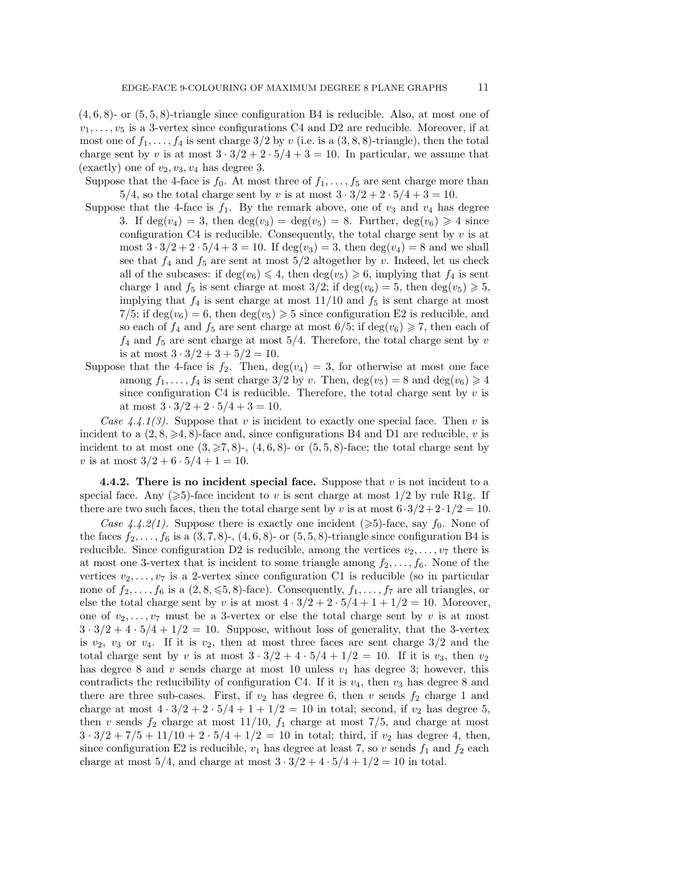$(4, 6, 8)$ - or  $(5, 5, 8)$ -triangle since configuration B4 is reducible. Also, at most one of  $v_1, \ldots, v_5$  is a 3-vertex since configurations C4 and D2 are reducible. Moreover, if at most one of  $f_1, \ldots, f_4$  is sent charge  $3/2$  by v (i.e. is a  $(3, 8, 8)$ -triangle), then the total charge sent by v is at most  $3 \cdot 3/2 + 2 \cdot 5/4 + 3 = 10$ . In particular, we assume that (exactly) one of  $v_2, v_3, v_4$  has degree 3.

Suppose that the 4-face is  $f_0$ . At most three of  $f_1, \ldots, f_5$  are sent charge more than 5/4, so the total charge sent by v is at most  $3 \cdot 3/2 + 2 \cdot 5/4 + 3 = 10$ .

- Suppose that the 4-face is  $f_1$ . By the remark above, one of  $v_3$  and  $v_4$  has degree 3. If  $deg(v_4) = 3$ , then  $deg(v_3) = deg(v_5) = 8$ . Further,  $deg(v_6) \geq 4$  since configuration C4 is reducible. Consequently, the total charge sent by  $v$  is at most  $3 \cdot 3/2 + 2 \cdot 5/4 + 3 = 10$ . If deg(v<sub>3</sub>) = 3, then deg(v<sub>4</sub>) = 8 and we shall see that  $f_4$  and  $f_5$  are sent at most  $5/2$  altogether by v. Indeed, let us check all of the subcases: if  $deg(v_6) \leq 4$ , then  $deg(v_5) \geq 6$ , implying that  $f_4$  is sent charge 1 and  $f_5$  is sent charge at most  $3/2$ ; if  $deg(v_6) = 5$ , then  $deg(v_5) \geq 5$ , implying that  $f_4$  is sent charge at most  $11/10$  and  $f_5$  is sent charge at most 7/5; if  $deg(v_6) = 6$ , then  $deg(v_5) \ge 5$  since configuration E2 is reducible, and so each of  $f_4$  and  $f_5$  are sent charge at most  $6/5$ ; if  $deg(v_6) \geq 7$ , then each of  $f_4$  and  $f_5$  are sent charge at most  $5/4$ . Therefore, the total charge sent by v is at most  $3 \cdot 3/2 + 3 + 5/2 = 10$ .
- Suppose that the 4-face is  $f_2$ . Then,  $deg(v_4) = 3$ , for otherwise at most one face among  $f_1, \ldots, f_4$  is sent charge  $3/2$  by v. Then,  $deg(v_5) = 8$  and  $deg(v_6) \geq 4$ since configuration C4 is reducible. Therefore, the total charge sent by  $v$  is at most  $3 \cdot 3/2 + 2 \cdot 5/4 + 3 = 10$ .

*Case 4.4.1(3).* Suppose that v is incident to exactly one special face. Then v is incident to a  $(2, 8, \geq 4, 8)$ -face and, since configurations B4 and D1 are reducible, v is incident to at most one  $(3, \geq 7, 8)$ -,  $(4, 6, 8)$ - or  $(5, 5, 8)$ -face; the total charge sent by v is at most  $3/2 + 6 \cdot 5/4 + 1 = 10$ .

**4.4.2. There is no incident special face.** Suppose that v is not incident to a special face. Any ( $\geqslant$ 5)-face incident to v is sent charge at most 1/2 by rule R1g. If there are two such faces, then the total charge sent by v is at most  $6.3/2+2.1/2=10$ .

*Case 4.4.2(1).* Suppose there is exactly one incident ( $\geq 5$ )-face, say  $f_0$ . None of the faces  $f_2,\ldots,f_6$  is a  $(3,7,8)$ -,  $(4,6,8)$ - or  $(5,5,8)$ -triangle since configuration B4 is reducible. Since configuration D2 is reducible, among the vertices  $v_2, \ldots, v_7$  there is at most one 3-vertex that is incident to some triangle among  $f_2, \ldots, f_6$ . None of the vertices  $v_2, \ldots, v_7$  is a 2-vertex since configuration C1 is reducible (so in particular none of  $f_2,\ldots,f_6$  is a  $(2, 8, \leq 5, 8)$ -face). Consequently,  $f_1,\ldots,f_7$  are all triangles, or else the total charge sent by v is at most  $4 \cdot 3/2 + 2 \cdot 5/4 + 1 + 1/2 = 10$ . Moreover, one of  $v_2, \ldots, v_7$  must be a 3-vertex or else the total charge sent by v is at most  $3 \cdot 3/2 + 4 \cdot 5/4 + 1/2 = 10$ . Suppose, without loss of generality, that the 3-vertex is  $v_2$ ,  $v_3$  or  $v_4$ . If it is  $v_2$ , then at most three faces are sent charge  $3/2$  and the total charge sent by v is at most  $3 \cdot 3/2 + 4 \cdot 5/4 + 1/2 = 10$ . If it is  $v_3$ , then  $v_2$ has degree 8 and v sends charge at most 10 unless  $v_1$  has degree 3; however, this contradicts the reducibility of configuration C4. If it is  $v_4$ , then  $v_3$  has degree 8 and there are three sub-cases. First, if  $v_2$  has degree 6, then v sends  $f_2$  charge 1 and charge at most  $4 \cdot 3/2 + 2 \cdot 5/4 + 1 + 1/2 = 10$  in total; second, if  $v_2$  has degree 5, then v sends  $f_2$  charge at most  $11/10$ ,  $f_1$  charge at most  $7/5$ , and charge at most  $3 \cdot 3/2 + 7/5 + 11/10 + 2 \cdot 5/4 + 1/2 = 10$  in total; third, if  $v_2$  has degree 4, then, since configuration E2 is reducible,  $v_1$  has degree at least 7, so v sends  $f_1$  and  $f_2$  each charge at most  $5/4$ , and charge at most  $3 \cdot 3/2 + 4 \cdot 5/4 + 1/2 = 10$  in total.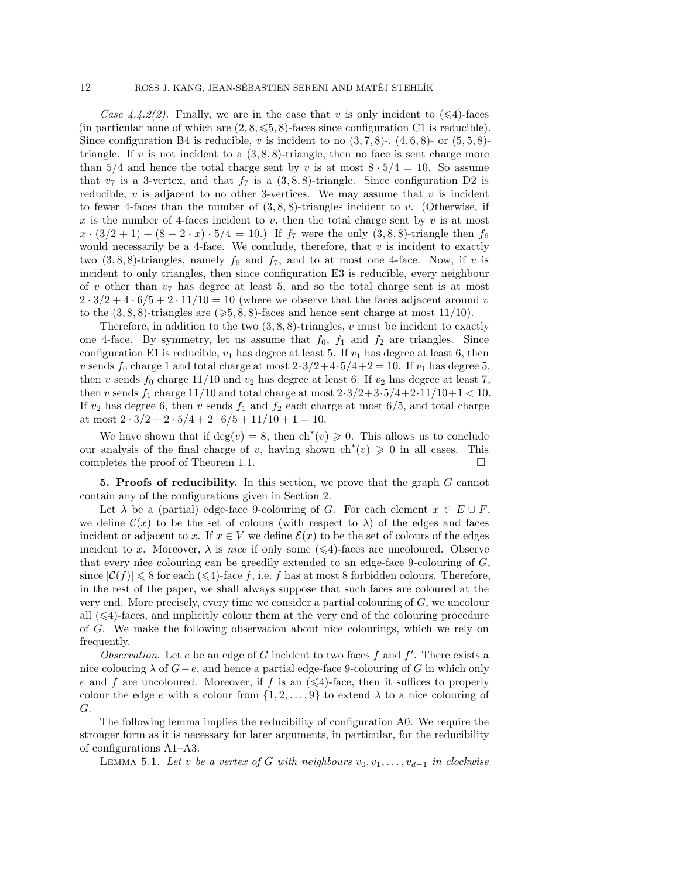#### 12 ROSS J. KANG, JEAN-SÉBASTIEN SERENI AND MATĚJ STEHLÍK

*Case 4.4.2(2).* Finally, we are in the case that v is only incident to  $(\leq 4)$ -faces (in particular none of which are  $(2, 8, \leqslant 5, 8)$ -faces since configuration C1 is reducible). Since configuration B4 is reducible, v is incident to no  $(3, 7, 8)$ -,  $(4, 6, 8)$ - or  $(5, 5, 8)$ triangle. If v is not incident to a  $(3, 8, 8)$ -triangle, then no face is sent charge more than 5/4 and hence the total charge sent by v is at most  $8 \cdot 5/4 = 10$ . So assume that  $v_7$  is a 3-vertex, and that  $f_7$  is a  $(3, 8, 8)$ -triangle. Since configuration D2 is reducible,  $v$  is adjacent to no other 3-vertices. We may assume that  $v$  is incident to fewer 4-faces than the number of  $(3, 8, 8)$ -triangles incident to v. (Otherwise, if x is the number of 4-faces incident to v, then the total charge sent by v is at most  $x \cdot (3/2 + 1) + (8 - 2 \cdot x) \cdot 5/4 = 10.$  If  $f_7$  were the only  $(3, 8, 8)$ -triangle then  $f_6$ would necessarily be a 4-face. We conclude, therefore, that  $v$  is incident to exactly two  $(3, 8, 8)$ -triangles, namely  $f_6$  and  $f_7$ , and to at most one 4-face. Now, if v is incident to only triangles, then since configuration E3 is reducible, every neighbour of v other than  $v_7$  has degree at least 5, and so the total charge sent is at most  $2 \cdot 3/2 + 4 \cdot 6/5 + 2 \cdot 11/10 = 10$  (where we observe that the faces adjacent around v to the  $(3, 8, 8)$ -triangles are  $( \geqslant 5, 8, 8)$ -faces and hence sent charge at most 11/10).

Therefore, in addition to the two  $(3, 8, 8)$ -triangles, v must be incident to exactly one 4-face. By symmetry, let us assume that  $f_0$ ,  $f_1$  and  $f_2$  are triangles. Since configuration E1 is reducible,  $v_1$  has degree at least 5. If  $v_1$  has degree at least 6, then v sends  $f_0$  charge 1 and total charge at most  $2 \cdot 3/2 + 4 \cdot 5/4 + 2 = 10$ . If  $v_1$  has degree 5, then v sends  $f_0$  charge 11/10 and  $v_2$  has degree at least 6. If  $v_2$  has degree at least 7, then v sends  $f_1$  charge 11/10 and total charge at most  $2 \cdot 3/2 + 3 \cdot 5/4 + 2 \cdot 11/10 + 1 < 10$ . If  $v_2$  has degree 6, then v sends  $f_1$  and  $f_2$  each charge at most 6/5, and total charge at most  $2 \cdot 3/2 + 2 \cdot 5/4 + 2 \cdot 6/5 + 11/10 + 1 = 10$ .

We have shown that if  $\deg(v) = 8$ , then  $\text{ch}^*(v) \geq 0$ . This allows us to conclude our analysis of the final charge of v, having shown  $\mathrm{ch}^*(v) \geq 0$  in all cases. This completes the proof of Theorem 1.1.  $\Box$ 

**5. Proofs of reducibility.** In this section, we prove that the graph G cannot contain any of the configurations given in Section 2.

Let  $\lambda$  be a (partial) edge-face 9-colouring of G. For each element  $x \in E \cup F$ , we define  $\mathcal{C}(x)$  to be the set of colours (with respect to  $\lambda$ ) of the edges and faces incident or adjacent to x. If  $x \in V$  we define  $\mathcal{E}(x)$  to be the set of colours of the edges incident to x. Moreover,  $\lambda$  is *nice* if only some ( $\leq 4$ )-faces are uncoloured. Observe that every nice colouring can be greedily extended to an edge-face 9-colouring of  $G$ , since  $|\mathcal{C}(f)| \leq 8$  for each  $(\leq 4)$ -face f, i.e. f has at most 8 forbidden colours. Therefore, in the rest of the paper, we shall always suppose that such faces are coloured at the very end. More precisely, every time we consider a partial colouring of  $G$ , we uncolour all  $(\leq 4)$ -faces, and implicitly colour them at the very end of the colouring procedure of G. We make the following observation about nice colourings, which we rely on frequently.

*Observation*. Let  $e$  be an edge of  $G$  incident to two faces  $f$  and  $f'$ . There exists a nice colouring  $\lambda$  of  $G-e$ , and hence a partial edge-face 9-colouring of G in which only e and f are uncoloured. Moreover, if f is an  $(\leq 4)$ -face, then it suffices to properly colour the edge e with a colour from  $\{1, 2, \ldots, 9\}$  to extend  $\lambda$  to a nice colouring of G.

The following lemma implies the reducibility of configuration A0. We require the stronger form as it is necessary for later arguments, in particular, for the reducibility of configurations A1–A3.

LEMMA 5.1. Let v be a vertex of G with neighbours  $v_0, v_1, \ldots, v_{d-1}$  in clockwise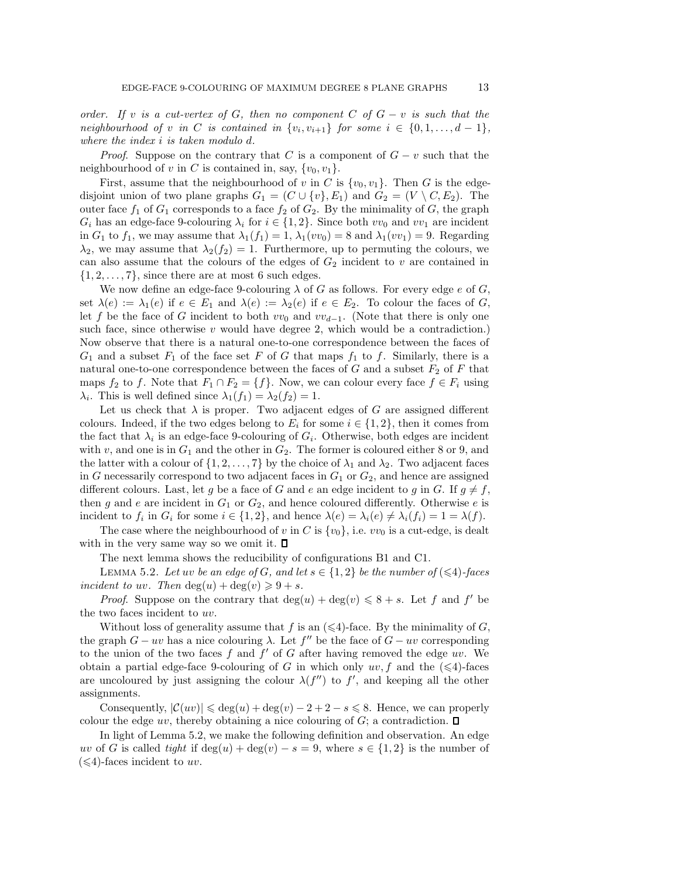*order. If* v *is a cut-vertex of* G*, then no component* C *of* G − v *is such that the neighbourhood of* v *in* C *is contained in*  $\{v_i, v_{i+1}\}$  *for some*  $i \in \{0, 1, ..., d - 1\}$ *, where the index* i *is taken modulo* d*.*

*Proof.* Suppose on the contrary that C is a component of  $G - v$  such that the neighbourhood of v in C is contained in, say,  $\{v_0, v_1\}$ .

First, assume that the neighbourhood of v in C is  $\{v_0, v_1\}$ . Then G is the edgedisjoint union of two plane graphs  $G_1 = (C \cup \{v\}, E_1)$  and  $G_2 = (V \setminus C, E_2)$ . The outer face  $f_1$  of  $G_1$  corresponds to a face  $f_2$  of  $G_2$ . By the minimality of G, the graph  $G_i$  has an edge-face 9-colouring  $\lambda_i$  for  $i \in \{1, 2\}$ . Since both  $vv_0$  and  $vv_1$  are incident in  $G_1$  to  $f_1$ , we may assume that  $\lambda_1(f_1) = 1$ ,  $\lambda_1(vv_0) = 8$  and  $\lambda_1(vv_1) = 9$ . Regarding  $\lambda_2$ , we may assume that  $\lambda_2(f_2) = 1$ . Furthermore, up to permuting the colours, we can also assume that the colours of the edges of  $G_2$  incident to v are contained in  $\{1, 2, \ldots, 7\}$ , since there are at most 6 such edges.

We now define an edge-face 9-colouring  $\lambda$  of G as follows. For every edge e of G, set  $\lambda(e) := \lambda_1(e)$  if  $e \in E_1$  and  $\lambda(e) := \lambda_2(e)$  if  $e \in E_2$ . To colour the faces of G, let f be the face of G incident to both  $vv_0$  and  $vv_{d-1}$ . (Note that there is only one such face, since otherwise  $v$  would have degree 2, which would be a contradiction.) Now observe that there is a natural one-to-one correspondence between the faces of  $G_1$  and a subset  $F_1$  of the face set F of G that maps  $f_1$  to f. Similarly, there is a natural one-to-one correspondence between the faces of  $G$  and a subset  $F_2$  of  $F$  that maps  $f_2$  to f. Note that  $F_1 \cap F_2 = \{f\}$ . Now, we can colour every face  $f \in F_i$  using  $\lambda_i$ . This is well defined since  $\lambda_1(f_1) = \lambda_2(f_2) = 1$ .

Let us check that  $\lambda$  is proper. Two adjacent edges of G are assigned different colours. Indeed, if the two edges belong to  $E_i$  for some  $i \in \{1,2\}$ , then it comes from the fact that  $\lambda_i$  is an edge-face 9-colouring of  $G_i$ . Otherwise, both edges are incident with  $v$ , and one is in  $G_1$  and the other in  $G_2$ . The former is coloured either 8 or 9, and the latter with a colour of  $\{1, 2, \ldots, 7\}$  by the choice of  $\lambda_1$  and  $\lambda_2$ . Two adjacent faces in G necessarily correspond to two adjacent faces in  $G_1$  or  $G_2$ , and hence are assigned different colours. Last, let g be a face of G and e an edge incident to g in G. If  $g \neq f$ , then g and e are incident in  $G_1$  or  $G_2$ , and hence coloured differently. Otherwise e is incident to  $f_i$  in  $G_i$  for some  $i \in \{1, 2\}$ , and hence  $\lambda(e) = \lambda_i(e) \neq \lambda_i(f_i) = 1 = \lambda(f)$ .

The case where the neighbourhood of v in C is  $\{v_0\}$ , i.e.  $vv_0$  is a cut-edge, is dealt with in the very same way so we omit it.  $\square$ 

The next lemma shows the reducibility of configurations B1 and C1.

LEMMA 5.2. Let uv be an edge of G, and let  $s \in \{1,2\}$  be the number of  $(\leq 4)$ -faces *incident to uv.* Then  $deg(u) + deg(v) \geq 9 + s$ .

*Proof.* Suppose on the contrary that  $deg(u) + deg(v) \leq 8 + s$ . Let f and f' be the two faces incident to uv.

Without loss of generality assume that f is an  $(\leq 4)$ -face. By the minimality of G, the graph  $G - uv$  has a nice colouring  $\lambda$ . Let  $f''$  be the face of  $G - uv$  corresponding to the union of the two faces  $f$  and  $f'$  of  $G$  after having removed the edge uv. We obtain a partial edge-face 9-colouring of G in which only  $uv, f$  and the  $(\leq 4)$ -faces are uncoloured by just assigning the colour  $\lambda(f'')$  to f', and keeping all the other assignments.

Consequently,  $|\mathcal{C}(uv)| \leq \deg(u) + \deg(v) - 2 + 2 - s \leq 8$ . Hence, we can properly colour the edge uv, thereby obtaining a nice colouring of  $G$ ; a contradiction.  $\square$ 

In light of Lemma 5.2, we make the following definition and observation. An edge uv of G is called *tight* if  $\deg(u) + \deg(v) - s = 9$ , where  $s \in \{1,2\}$  is the number of  $(\leq 4)$ -faces incident to uv.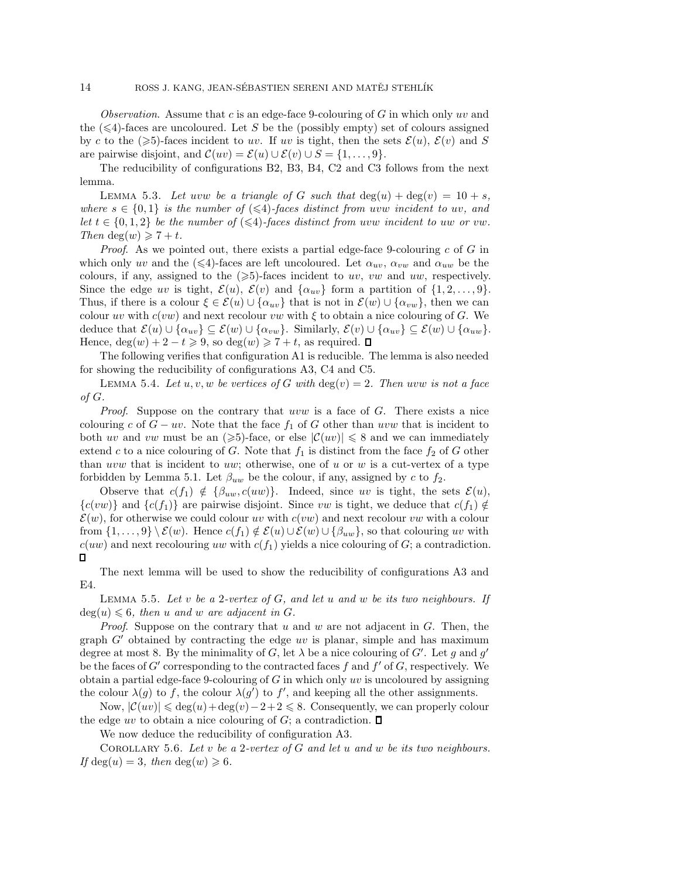*Observation*. Assume that c is an edge-face 9-colouring of G in which only uv and the  $(\leq 4)$ -faces are uncoloured. Let S be the (possibly empty) set of colours assigned by c to the  $(\geqslant 5)$ -faces incident to uv. If uv is tight, then the sets  $\mathcal{E}(u)$ ,  $\mathcal{E}(v)$  and S are pairwise disjoint, and  $\mathcal{C}(uv) = \mathcal{E}(u) \cup \mathcal{E}(v) \cup S = \{1,\ldots,9\}.$ 

The reducibility of configurations B2, B3, B4, C2 and C3 follows from the next lemma.

LEMMA 5.3. Let uvw be a triangle of G such that  $\deg(u) + \deg(v) = 10 + s$ , *where*  $s \in \{0,1\}$  *is the number of*  $(\leq 4)$ -faces distinct from uvw incident to uv, and *let*  $t \in \{0, 1, 2\}$  *be the number of*  $(\leq 4)$ -faces distinct from uvw incident to uw or vw. *Then* deg(*w*)  $\geq 7 + t$ *.* 

*Proof.* As we pointed out, there exists a partial edge-face 9-colouring c of G in which only uv and the  $(\leq 4)$ -faces are left uncoloured. Let  $\alpha_{uv}, \alpha_{vw}$  and  $\alpha_{uw}$  be the colours, if any, assigned to the  $(\geqslant 5)$ -faces incident to uv, vw and uw, respectively. Since the edge uv is tight,  $\mathcal{E}(u)$ ,  $\mathcal{E}(v)$  and  $\{\alpha_{uv}\}\$ form a partition of  $\{1, 2, \ldots, 9\}$ . Thus, if there is a colour  $\xi \in \mathcal{E}(u) \cup \{\alpha_{uv}\}\$  that is not in  $\mathcal{E}(w) \cup \{\alpha_{vw}\}\$ , then we can colour uv with  $c(vw)$  and next recolour vw with  $\xi$  to obtain a nice colouring of G. We deduce that  $\mathcal{E}(u) \cup \{\alpha_{uv}\} \subseteq \mathcal{E}(w) \cup \{\alpha_{vw}\}.$  Similarly,  $\mathcal{E}(v) \cup \{\alpha_{uv}\} \subseteq \mathcal{E}(w) \cup \{\alpha_{uw}\}.$ Hence,  $deg(w) + 2 - t \ge 9$ , so  $deg(w) \ge 7 + t$ , as required.

The following verifies that configuration A1 is reducible. The lemma is also needed for showing the reducibility of configurations A3, C4 and C5.

LEMMA 5.4. Let  $u, v, w$  be vertices of G with  $deg(v)=2$ . Then uvw is not a face *of* G*.*

*Proof.* Suppose on the contrary that uvw is a face of G. There exists a nice colouring c of  $G - uv$ . Note that the face  $f_1$  of G other than uvw that is incident to both uv and vw must be an  $(\geqslant 5)$ -face, or else  $|\mathcal{C}(uv)| \leqslant 8$  and we can immediately extend c to a nice colouring of G. Note that  $f_1$  is distinct from the face  $f_2$  of G other than uvw that is incident to uw; otherwise, one of u or w is a cut-vertex of a type forbidden by Lemma 5.1. Let  $\beta_{uw}$  be the colour, if any, assigned by c to  $f_2$ .

Observe that  $c(f_1) \notin {\beta_{uw}, c(uw)}$ . Indeed, since uv is tight, the sets  $\mathcal{E}(u)$ ,  ${c(vw)}$  and  ${c(f_1)}$  are pairwise disjoint. Since vw is tight, we deduce that  $c(f_1) \notin$  $\mathcal{E}(w)$ , for otherwise we could colour uv with  $c(vw)$  and next recolour vw with a colour from  $\{1,\ldots,9\}\setminus\mathcal{E}(w)$ . Hence  $c(f_1) \notin \mathcal{E}(u) \cup \mathcal{E}(w) \cup \{\beta_{uw}\}\)$ , so that colouring uv with  $c(uw)$  and next recolouring uw with  $c(f_1)$  yields a nice colouring of G; a contradiction.  $\Box$ 

The next lemma will be used to show the reducibility of configurations A3 and E4.

Lemma 5.5. *Let* v *be a* 2*-vertex of* G*, and let* u *and* w *be its two neighbours. If*  $deg(u) \leq 6$ , then u and w are adjacent in G.

*Proof*. Suppose on the contrary that u and w are not adjacent in G. Then, the graph  $G'$  obtained by contracting the edge uv is planar, simple and has maximum degree at most 8. By the minimality of G, let  $\lambda$  be a nice colouring of G'. Let g and g' be the faces of  $G'$  corresponding to the contracted faces f and  $f'$  of  $G$ , respectively. We obtain a partial edge-face 9-colouring of  $G$  in which only uv is uncoloured by assigning the colour  $\lambda(g)$  to f, the colour  $\lambda(g')$  to f', and keeping all the other assignments.

Now,  $|\mathcal{C}(uv)| \leq \deg(u) + \deg(v) - 2 + 2 \leq 8$ . Consequently, we can properly colour the edge uv to obtain a nice colouring of  $G$ ; a contradiction.  $\square$ 

We now deduce the reducibility of configuration A3.

Corollary 5.6. *Let* v *be a* 2*-vertex of* G *and let* u *and* w *be its two neighbours.* If deg(u) = 3*, then* deg(w)  $\geq 6$ *.*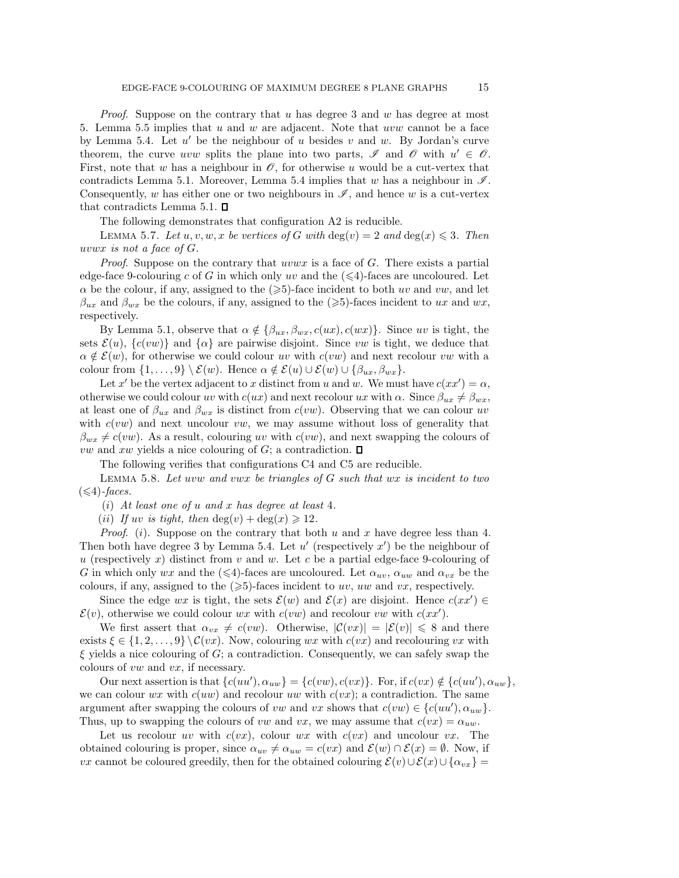*Proof.* Suppose on the contrary that u has degree 3 and w has degree at most 5. Lemma 5.5 implies that  $u$  and  $w$  are adjacent. Note that  $uvw$  cannot be a face by Lemma 5.4. Let  $u'$  be the neighbour of u besides v and w. By Jordan's curve theorem, the curve uvw splits the plane into two parts,  $\mathscr I$  and  $\mathscr O$  with  $u' \in \mathscr O$ . First, note that w has a neighbour in  $\mathscr O$ , for otherwise u would be a cut-vertex that contradicts Lemma 5.1. Moreover, Lemma 5.4 implies that w has a neighbour in  $\mathscr{I}$ . Consequently, w has either one or two neighbours in  $\mathscr{I}$ , and hence w is a cut-vertex that contradicts Lemma 5.1.  $\square$ 

The following demonstrates that configuration A2 is reducible.

LEMMA 5.7. Let  $u, v, w, x$  be vertices of G with  $deg(v)=2$  and  $deg(x) \leq 3$ . Then uvwx *is not a face of* G*.*

*Proof.* Suppose on the contrary that uvwx is a face of G. There exists a partial edge-face 9-colouring c of G in which only uv and the  $(\leq 4)$ -faces are uncoloured. Let  $\alpha$  be the colour, if any, assigned to the  $(\geqslant 5)$ -face incident to both uv and vw, and let  $\beta_{ux}$  and  $\beta_{wx}$  be the colours, if any, assigned to the ( $\geq 5$ )-faces incident to ux and wx, respectively.

By Lemma 5.1, observe that  $\alpha \notin {\beta_{ux}, \beta_{wx}, c(ux), c(wx)}$ . Since uv is tight, the sets  $\mathcal{E}(u)$ ,  $\{c(vw)\}\$ and  $\{\alpha\}$  are pairwise disjoint. Since vw is tight, we deduce that  $\alpha \notin \mathcal{E}(w)$ , for otherwise we could colour w with  $c(vw)$  and next recolour vw with a colour from  $\{1,\ldots,9\}\setminus\mathcal{E}(w)$ . Hence  $\alpha \notin \mathcal{E}(u) \cup \mathcal{E}(w) \cup \{\beta_{ux}, \beta_{wx}\}.$ 

Let x' be the vertex adjacent to x distinct from u and w. We must have  $c(xx') = \alpha$ , otherwise we could colour uv with  $c(ux)$  and next recolour ux with  $\alpha$ . Since  $\beta_{ux} \neq \beta_{wx}$ , at least one of  $\beta_{ux}$  and  $\beta_{wx}$  is distinct from  $c(vw)$ . Observing that we can colour uv with  $c(vw)$  and next uncolour vw, we may assume without loss of generality that  $\beta_{wx} \neq c(vw)$ . As a result, colouring uv with  $c(vw)$ , and next swapping the colours of *vw* and xw yields a nice colouring of G; a contradiction.  $\Box$ 

The following verifies that configurations C4 and C5 are reducible.

Lemma 5.8. *Let* uvw *and* vwx *be triangles of* G *such that* wx *is incident to two*  $(\leq 4)$ -faces.

(i) *At least one of* u *and* x *has degree at least* 4*.*

(*ii*) If uv *is tight, then*  $deg(v) + deg(x) \ge 12$ .

*Proof.* (i). Suppose on the contrary that both u and x have degree less than 4. Then both have degree 3 by Lemma 5.4. Let  $u'$  (respectively  $x'$ ) be the neighbour of u (respectively x) distinct from  $v$  and  $w$ . Let  $c$  be a partial edge-face 9-colouring of G in which only wx and the  $(\leq 4)$ -faces are uncoloured. Let  $\alpha_{uv}, \alpha_{uw}$  and  $\alpha_{vx}$  be the colours, if any, assigned to the  $(\geqslant 5)$ -faces incident to uv, uw and vx, respectively.

Since the edge wx is tight, the sets  $\mathcal{E}(w)$  and  $\mathcal{E}(x)$  are disjoint. Hence  $c(xx') \in$  $\mathcal{E}(v)$ , otherwise we could colour wx with  $c(vw)$  and recolour vw with  $c(xx')$ .

We first assert that  $\alpha_{vx} \neq c(vw)$ . Otherwise,  $|\mathcal{C}(vx)| = |\mathcal{E}(v)| \leq 8$  and there exists  $\xi \in \{1, 2, ..., 9\} \setminus \mathcal{C}(vx)$ . Now, colouring wx with  $c(vx)$  and recolouring vx with  $\xi$  yields a nice colouring of G; a contradiction. Consequently, we can safely swap the colours of vw and vx, if necessary.

Our next assertion is that  $\{c(uu'), \alpha_{uw}\} = \{c(vw), c(vx)\}\.$  For, if  $c(vx) \notin \{c(uu'), \alpha_{uw}\}\,$ we can colour  $wx$  with  $c(uw)$  and recolour uw with  $c(vx)$ ; a contradiction. The same argument after swapping the colours of vw and vx shows that  $c(vw) \in \{c(uu'), \alpha_{uw}\}.$ Thus, up to swapping the colours of vw and vx, we may assume that  $c(vx) = \alpha_{uw}$ .

Let us recolour uv with  $c(vx)$ , colour wx with  $c(vx)$  and uncolour vx. The obtained colouring is proper, since  $\alpha_{uv} \neq \alpha_{uw} = c(vx)$  and  $\mathcal{E}(w) \cap \mathcal{E}(x) = \emptyset$ . Now, if *vx* cannot be coloured greedily, then for the obtained colouring  $\mathcal{E}(v) \cup \mathcal{E}(x) \cup \{\alpha_{vx}\}\$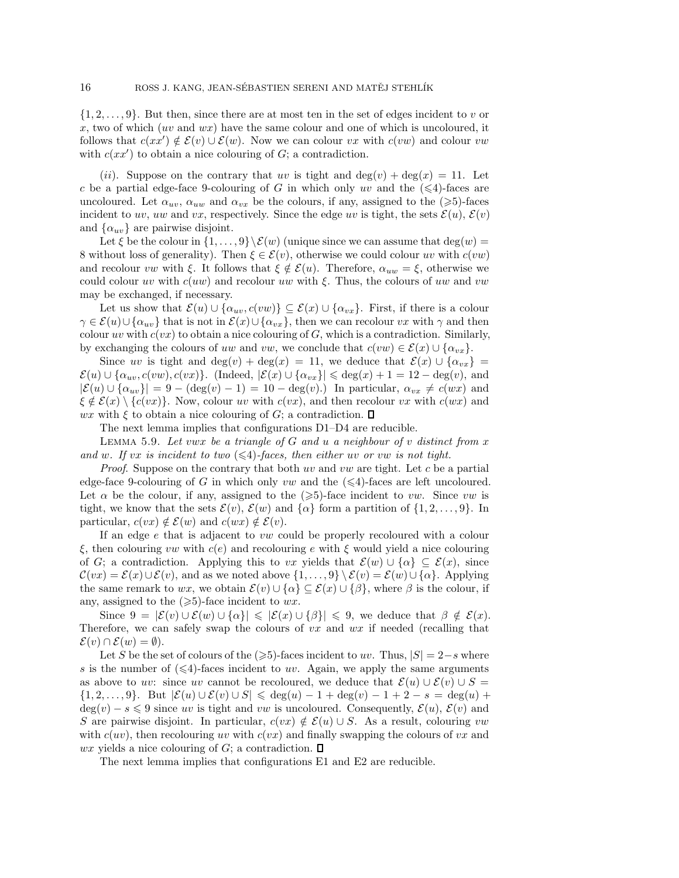$\{1, 2, \ldots, 9\}$ . But then, since there are at most ten in the set of edges incident to v or x, two of which  $(uv \text{ and } wx)$  have the same colour and one of which is uncoloured, it follows that  $c(xx') \notin \mathcal{E}(v) \cup \mathcal{E}(w)$ . Now we can colour vx with  $c(vw)$  and colour vw with  $c(xx')$  to obtain a nice colouring of  $G$ ; a contradiction.

(ii). Suppose on the contrary that uv is tight and  $\deg(v) + \deg(x) = 11$ . Let c be a partial edge-face 9-colouring of G in which only uv and the  $(\leq 4)$ -faces are uncoloured. Let  $\alpha_{uv}, \alpha_{uw}$  and  $\alpha_{vx}$  be the colours, if any, assigned to the  $(\geq 5)$ -faces incident to uv, uw and vx, respectively. Since the edge uv is tight, the sets  $\mathcal{E}(u)$ ,  $\mathcal{E}(v)$ and  $\{\alpha_{uv}\}\$ are pairwise disjoint.

Let  $\xi$  be the colour in  $\{1,\ldots,9\}\setminus \mathcal{E}(w)$  (unique since we can assume that  $\deg(w)$ ) 8 without loss of generality). Then  $\xi \in \mathcal{E}(v)$ , otherwise we could colour uv with  $c(vw)$ and recolour vw with  $\xi$ . It follows that  $\xi \notin \mathcal{E}(u)$ . Therefore,  $\alpha_{uw} = \xi$ , otherwise we could colour uv with  $c(uw)$  and recolour uw with  $\xi$ . Thus, the colours of uw and vw may be exchanged, if necessary.

Let us show that  $\mathcal{E}(u) \cup \{\alpha_{uv}, c(vw)\} \subseteq \mathcal{E}(x) \cup \{\alpha_{vx}\}.$  First, if there is a colour  $\gamma \in \mathcal{E}(u) \cup \{\alpha_{uv}\}\$  that is not in  $\mathcal{E}(x) \cup \{\alpha_{vx}\}\$ , then we can recolour vx with  $\gamma$  and then colour uv with  $c(vx)$  to obtain a nice colouring of  $G$ , which is a contradiction. Similarly, by exchanging the colours of uw and vw, we conclude that  $c(vw) \in \mathcal{E}(x) \cup \{\alpha_{vx}\}.$ 

Since uv is tight and deg(v) + deg(x) = 11, we deduce that  $\mathcal{E}(x) \cup {\alpha_{vx}}$  =  $\mathcal{E}(u) \cup \{\alpha_{uv}, c(vw), c(vx)\}.$  (Indeed,  $|\mathcal{E}(x) \cup \{\alpha_{vx}\}| \leq \deg(x) + 1 = 12 - \deg(v)$ , and  $|\mathcal{E}(u) \cup \{\alpha_{uv}\}| = 9 - (\deg(v) - 1) = 10 - \deg(v)$ .) In particular,  $\alpha_{vx} \neq c(wx)$  and  $\xi \notin \mathcal{E}(x) \setminus \{c(vx)\}\.$  Now, colour uv with  $c(vx)$ , and then recolour vx with  $c(wx)$  and wx with  $\xi$  to obtain a nice colouring of G; a contradiction.  $\square$ 

The next lemma implies that configurations D1–D4 are reducible.

Lemma 5.9. *Let* vwx *be a triangle of* G *and* u *a neighbour of* v *distinct from* x and w. If vx is incident to two  $(\leq 4)$ -faces, then either uv or vw is not tight.

*Proof.* Suppose on the contrary that both uv and vw are tight. Let c be a partial edge-face 9-colouring of G in which only vw and the  $(\leq 4)$ -faces are left uncoloured. Let  $\alpha$  be the colour, if any, assigned to the  $(\geqslant 5)$ -face incident to vw. Since vw is tight, we know that the sets  $\mathcal{E}(v)$ ,  $\mathcal{E}(w)$  and  $\{\alpha\}$  form a partition of  $\{1, 2, ..., 9\}$ . In particular,  $c(vx) \notin \mathcal{E}(w)$  and  $c(wx) \notin \mathcal{E}(v)$ .

If an edge e that is adjacent to vw could be properly recoloured with a colour ξ, then colouring *vw* with  $c(e)$  and recolouring e with ξ would yield a nice colouring of G; a contradiction. Applying this to vx yields that  $\mathcal{E}(w) \cup \{\alpha\} \subseteq \mathcal{E}(x)$ , since  $\mathcal{C}(vx) = \mathcal{E}(x) \cup \mathcal{E}(v)$ , and as we noted above  $\{1,\ldots,9\} \setminus \mathcal{E}(v) = \mathcal{E}(w) \cup \{\alpha\}$ . Applying the same remark to wx, we obtain  $\mathcal{E}(v) \cup \{\alpha\} \subseteq \mathcal{E}(x) \cup \{\beta\}$ , where  $\beta$  is the colour, if any, assigned to the  $(\geqslant 5)$ -face incident to wx.

Since  $9 = |\mathcal{E}(v) \cup \mathcal{E}(w) \cup \{\alpha\}| \leq |\mathcal{E}(x) \cup \{\beta\}| \leq 9$ , we deduce that  $\beta \notin \mathcal{E}(x)$ . Therefore, we can safely swap the colours of  $vx$  and  $wx$  if needed (recalling that  $\mathcal{E}(v) \cap \mathcal{E}(w) = \emptyset$ ).

Let S be the set of colours of the  $(\geqslant 5)$ -faces incident to uv. Thus,  $|S| = 2 - s$  where s is the number of  $(\leq 4)$ -faces incident to uv. Again, we apply the same arguments as above to uv: since uv cannot be recoloured, we deduce that  $\mathcal{E}(u) \cup \mathcal{E}(v) \cup S =$  $\{1, 2, \ldots, 9\}$ . But  $|\mathcal{E}(u) \cup \mathcal{E}(v) \cup S| \leq \deg(u) - 1 + \deg(v) - 1 + 2 - s = \deg(u) + s\}$  $deg(v) - s \leq 9$  since uv is tight and vw is uncoloured. Consequently,  $\mathcal{E}(u)$ ,  $\mathcal{E}(v)$  and S are pairwise disjoint. In particular,  $c(vx) \notin \mathcal{E}(u) \cup S$ . As a result, colouring vw with  $c(uv)$ , then recolouring uv with  $c(vx)$  and finally swapping the colours of vx and wx yields a nice colouring of G; a contradiction.  $\Box$ 

The next lemma implies that configurations E1 and E2 are reducible.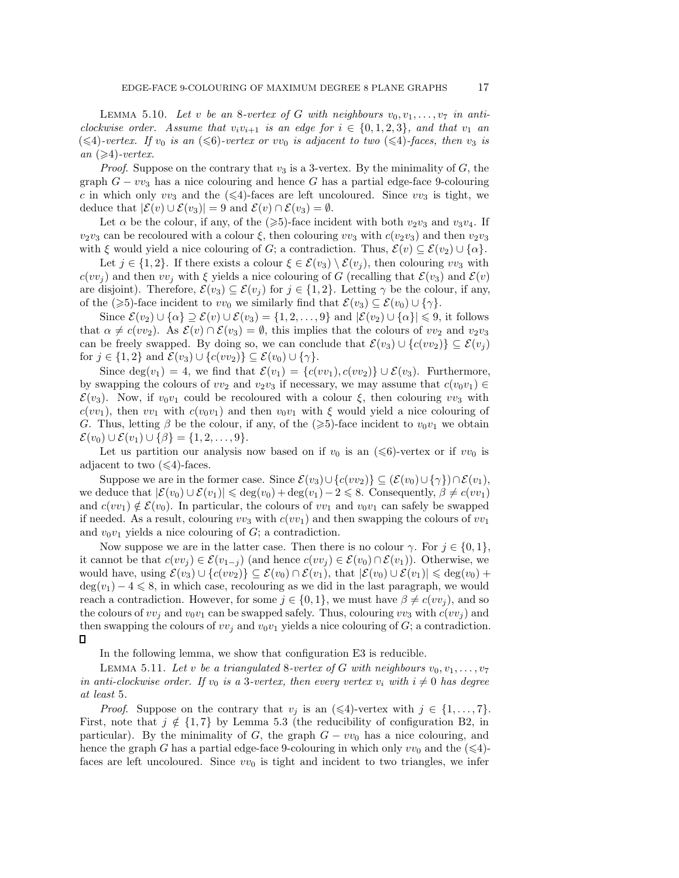LEMMA 5.10. Let v be an 8-vertex of G with neighbours  $v_0, v_1, \ldots, v_7$  in anti*clockwise order.* Assume that  $v_i v_{i+1}$  *is an edge for*  $i \in \{0, 1, 2, 3\}$ , and that  $v_1$  an  $(\leq 4)$ -vertex. If  $v_0$  is an  $(\leq 6)$ -vertex or vv<sub>0</sub> is adjacent to two  $(\leq 4)$ -faces, then  $v_3$  is  $an$  ( $\geqslant$ 4)*-vertex.* 

*Proof.* Suppose on the contrary that  $v_3$  is a 3-vertex. By the minimality of  $G$ , the graph  $G - v v_3$  has a nice colouring and hence G has a partial edge-face 9-colouring c in which only  $vv_3$  and the  $(\leq 4)$ -faces are left uncoloured. Since  $vv_3$  is tight, we deduce that  $|\mathcal{E}(v) \cup \mathcal{E}(v_3)| = 9$  and  $\mathcal{E}(v) \cap \mathcal{E}(v_3) = \emptyset$ .

Let  $\alpha$  be the colour, if any, of the ( $\geqslant$ 5)-face incident with both  $v_2v_3$  and  $v_3v_4$ . If  $v_2v_3$  can be recoloured with a colour  $\xi$ , then colouring  $vv_3$  with  $c(v_2v_3)$  and then  $v_2v_3$ with  $\xi$  would yield a nice colouring of G; a contradiction. Thus,  $\mathcal{E}(v) \subseteq \mathcal{E}(v_2) \cup \{\alpha\}.$ 

Let  $j \in \{1,2\}$ . If there exists a colour  $\xi \in \mathcal{E}(v_3) \setminus \mathcal{E}(v_j)$ , then colouring vv<sub>3</sub> with  $c(vv_i)$  and then  $vv_j$  with  $\xi$  yields a nice colouring of G (recalling that  $\mathcal{E}(v_3)$  and  $\mathcal{E}(v)$ ) are disjoint). Therefore,  $\mathcal{E}(v_3) \subseteq \mathcal{E}(v_j)$  for  $j \in \{1,2\}$ . Letting  $\gamma$  be the colour, if any, of the ( $\geqslant$ 5)-face incident to vv<sub>0</sub> we similarly find that  $\mathcal{E}(v_3) \subseteq \mathcal{E}(v_0) \cup \{\gamma\}.$ 

Since  $\mathcal{E}(v_2) \cup \{\alpha\} \supseteq \mathcal{E}(v) \cup \mathcal{E}(v_3) = \{1, 2, ..., 9\}$  and  $|\mathcal{E}(v_2) \cup \{\alpha\}| \leq 9$ , it follows that  $\alpha \neq c(vv_2)$ . As  $\mathcal{E}(v) \cap \mathcal{E}(v_3) = \emptyset$ , this implies that the colours of  $vv_2$  and  $v_2v_3$ can be freely swapped. By doing so, we can conclude that  $\mathcal{E}(v_3) \cup \{c(v_2)\} \subseteq \mathcal{E}(v_i)$ for  $j \in \{1,2\}$  and  $\mathcal{E}(v_3) \cup \{c(vv_2)\} \subseteq \mathcal{E}(v_0) \cup \{\gamma\}.$ 

Since deg(v<sub>1</sub>) = 4, we find that  $\mathcal{E}(v_1) = \{c(vv_1), c(vv_2)\} \cup \mathcal{E}(v_3)$ . Furthermore, by swapping the colours of  $vv_2$  and  $v_2v_3$  if necessary, we may assume that  $c(v_0v_1) \in$  $\mathcal{E}(v_3)$ . Now, if  $v_0v_1$  could be recoloured with a colour  $\xi$ , then colouring vv<sub>3</sub> with  $c(vv_1)$ , then  $vv_1$  with  $c(v_0v_1)$  and then  $v_0v_1$  with  $\xi$  would yield a nice colouring of G. Thus, letting  $\beta$  be the colour, if any, of the  $(\geqslant 5)$ -face incident to  $v_0v_1$  we obtain  $\mathcal{E}(v_0) \cup \mathcal{E}(v_1) \cup \{\beta\} = \{1, 2, ..., 9\}.$ 

Let us partition our analysis now based on if  $v_0$  is an  $(\leq 6)$ -vertex or if  $vv_0$  is adjacent to two  $(\leq 4)$ -faces.

Suppose we are in the former case. Since  $\mathcal{E}(v_3) \cup \{c(v_2)\} \subseteq (\mathcal{E}(v_0) \cup \{\gamma\}) \cap \mathcal{E}(v_1)$ , we deduce that  $|\mathcal{E}(v_0) \cup \mathcal{E}(v_1)| \leq \deg(v_0) + \deg(v_1) - 2 \leq 8$ . Consequently,  $\beta \neq c(vv_1)$ and  $c(vv_1) \notin \mathcal{E}(v_0)$ . In particular, the colours of  $vv_1$  and  $v_0v_1$  can safely be swapped if needed. As a result, colouring  $vv_3$  with  $c(v_1)$  and then swapping the colours of  $vv_1$ and  $v_0v_1$  yields a nice colouring of  $G$ ; a contradiction.

Now suppose we are in the latter case. Then there is no colour  $\gamma$ . For  $j \in \{0, 1\}$ , it cannot be that  $c(vv_i) \in \mathcal{E}(v_{1-i})$  (and hence  $c(vv_i) \in \mathcal{E}(v_0) \cap \mathcal{E}(v_1)$ ). Otherwise, we would have, using  $\mathcal{E}(v_3) \cup \{c(vv_2)\}\subseteq \mathcal{E}(v_0) \cap \mathcal{E}(v_1)$ , that  $|\mathcal{E}(v_0) \cup \mathcal{E}(v_1)| \leq \deg(v_0) +$  $deg(v_1) - 4 \leq 8$ , in which case, recolouring as we did in the last paragraph, we would reach a contradiction. However, for some  $j \in \{0, 1\}$ , we must have  $\beta \neq c(vv_i)$ , and so the colours of  $vv_j$  and  $v_0v_1$  can be swapped safely. Thus, colouring  $vv_3$  with  $c(vv_j)$  and then swapping the colours of  $vv_j$  and  $v_0v_1$  yields a nice colouring of G; a contradiction.  $\Box$ 

In the following lemma, we show that configuration E3 is reducible.

LEMMA 5.11. Let v be a triangulated 8-vertex of G with neighbours  $v_0, v_1, \ldots, v_7$ *in anti-clockwise order. If*  $v_0$  *is a* 3*-vertex, then every vertex*  $v_i$  *with*  $i \neq 0$  *has degree at least* 5*.*

*Proof.* Suppose on the contrary that  $v_j$  is an  $(\leq 4)$ -vertex with  $j \in \{1, ..., 7\}$ . First, note that  $j \notin \{1, 7\}$  by Lemma 5.3 (the reducibility of configuration B2, in particular). By the minimality of G, the graph  $G - v v_0$  has a nice colouring, and hence the graph G has a partial edge-face 9-colouring in which only  $vv_0$  and the  $(\leq 4)$ faces are left uncoloured. Since  $vv_0$  is tight and incident to two triangles, we infer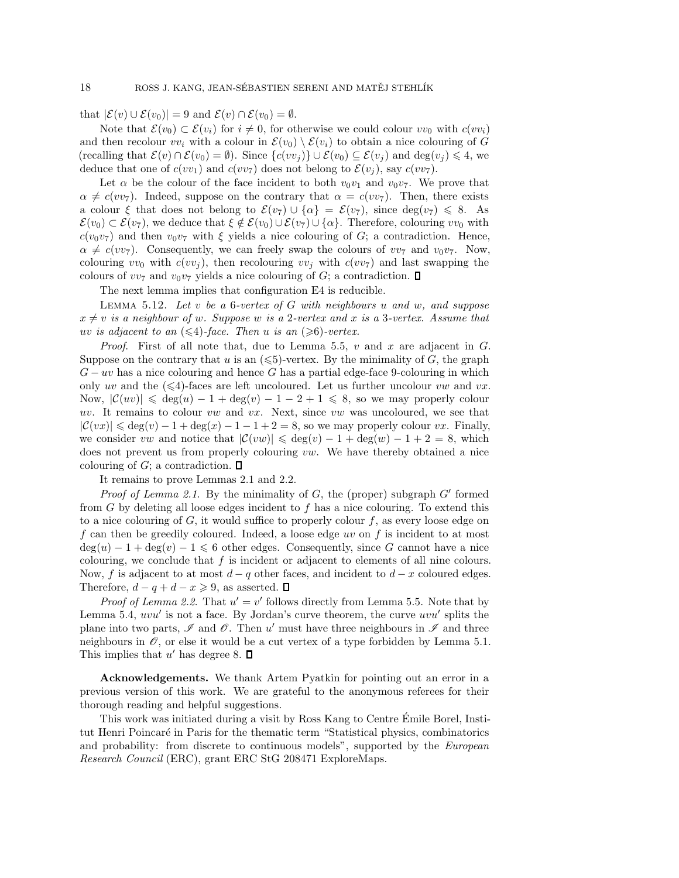that  $|\mathcal{E}(v) \cup \mathcal{E}(v_0)| = 9$  and  $\mathcal{E}(v) \cap \mathcal{E}(v_0) = \emptyset$ .

Note that  $\mathcal{E}(v_0) \subset \mathcal{E}(v_i)$  for  $i \neq 0$ , for otherwise we could colour  $vv_0$  with  $c(vv_i)$ and then recolour  $vv_i$  with a colour in  $\mathcal{E}(v_0) \setminus \mathcal{E}(v_i)$  to obtain a nice colouring of G (recalling that  $\mathcal{E}(v) \cap \mathcal{E}(v_0) = \emptyset$ ). Since  $\{c(v_i)\}\cup \mathcal{E}(v_0) \subseteq \mathcal{E}(v_j)$  and  $\deg(v_j) \leq 4$ , we deduce that one of  $c(vv_1)$  and  $c(vv_7)$  does not belong to  $\mathcal{E}(v_i)$ , say  $c(vv_7)$ .

Let  $\alpha$  be the colour of the face incident to both  $v_0v_1$  and  $v_0v_7$ . We prove that  $\alpha \neq c(vv_7)$ . Indeed, suppose on the contrary that  $\alpha = c(vv_7)$ . Then, there exists a colour  $\xi$  that does not belong to  $\mathcal{E}(v_7) \cup \{\alpha\} = \mathcal{E}(v_7)$ , since  $\deg(v_7) \leq 8$ . As  $\mathcal{E}(v_0) \subset \mathcal{E}(v_7)$ , we deduce that  $\xi \notin \mathcal{E}(v_0) \cup \mathcal{E}(v_7) \cup \{\alpha\}$ . Therefore, colouring  $vv_0$  with  $c(v_0v_7)$  and then  $v_0v_7$  with  $\xi$  yields a nice colouring of G; a contradiction. Hence,  $\alpha \neq c(vv_7)$ . Consequently, we can freely swap the colours of  $vv_7$  and  $v_0v_7$ . Now, colouring  $vv_0$  with  $c(vv_j)$ , then recolouring  $vv_j$  with  $c(vv_7)$  and last swapping the colours of  $vv_7$  and  $v_0v_7$  yields a nice colouring of G; a contradiction.  $\Box$ 

The next lemma implies that configuration E4 is reducible.

Lemma 5.12. *Let* v *be a* 6*-vertex of* G *with neighbours* u *and* w*, and suppose*  $x \neq v$  *is a neighbour of w. Suppose* w *is a 2-vertex and* x *is a 3-vertex. Assume that*  $uv$  *is adjacent to an*  $(\leqslant 4)$ -face. Then *u is an*  $(\geqslant 6)$ -vertex.

*Proof.* First of all note that, due to Lemma 5.5,  $v$  and  $x$  are adjacent in  $G$ . Suppose on the contrary that u is an  $(\leq 5)$ -vertex. By the minimality of G, the graph  $G - uv$  has a nice colouring and hence G has a partial edge-face 9-colouring in which only uv and the  $(\leq 4)$ -faces are left uncoloured. Let us further uncolour vw and vx. Now,  $|\mathcal{C}(uv)| \leq \deg(u) - 1 + \deg(v) - 1 - 2 + 1 \leq 8$ , so we may properly colour uv. It remains to colour vw and vx. Next, since vw was uncoloured, we see that  $|\mathcal{C}(vx)| \leq \deg(v) - 1 + \deg(x) - 1 - 1 + 2 = 8$ , so we may properly colour vx. Finally, we consider vw and notice that  $|\mathcal{C}(vw)| \leq \deg(v) - 1 + \deg(w) - 1 + 2 = 8$ , which does not prevent us from properly colouring vw. We have thereby obtained a nice colouring of G; a contradiction.  $\Box$ 

It remains to prove Lemmas 2.1 and 2.2.

*Proof of Lemma 2.1*. By the minimality of  $G$ , the (proper) subgraph  $G'$  formed from G by deleting all loose edges incident to f has a nice colouring. To extend this to a nice colouring of  $G$ , it would suffice to properly colour  $f$ , as every loose edge on f can then be greedily coloured. Indeed, a loose edge uv on f is incident to at most  $deg(u) - 1 + deg(v) - 1 \leq 6$  other edges. Consequently, since G cannot have a nice colouring, we conclude that  $f$  is incident or adjacent to elements of all nine colours. Now, f is adjacent to at most  $d - q$  other faces, and incident to  $d - x$  coloured edges. Therefore,  $d - q + d - x \geqslant 9$ , as asserted.

*Proof of Lemma 2.2.* That  $u' = v'$  follows directly from Lemma 5.5. Note that by Lemma 5.4,  $uvu'$  is not a face. By Jordan's curve theorem, the curve  $uvu'$  splits the plane into two parts,  $\mathscr I$  and  $\mathscr O$ . Then  $u'$  must have three neighbours in  $\mathscr I$  and three neighbours in  $\mathscr O$ , or else it would be a cut vertex of a type forbidden by Lemma 5.1. This implies that  $u'$  has degree 8.

**Acknowledgements.** We thank Artem Pyatkin for pointing out an error in a previous version of this work. We are grateful to the anonymous referees for their thorough reading and helpful suggestions.

This work was initiated during a visit by Ross Kang to Centre Emile Borel, Insti- ´ tut Henri Poincaré in Paris for the thematic term "Statistical physics, combinatorics and probability: from discrete to continuous models", supported by the *European Research Council* (ERC), grant ERC StG 208471 ExploreMaps.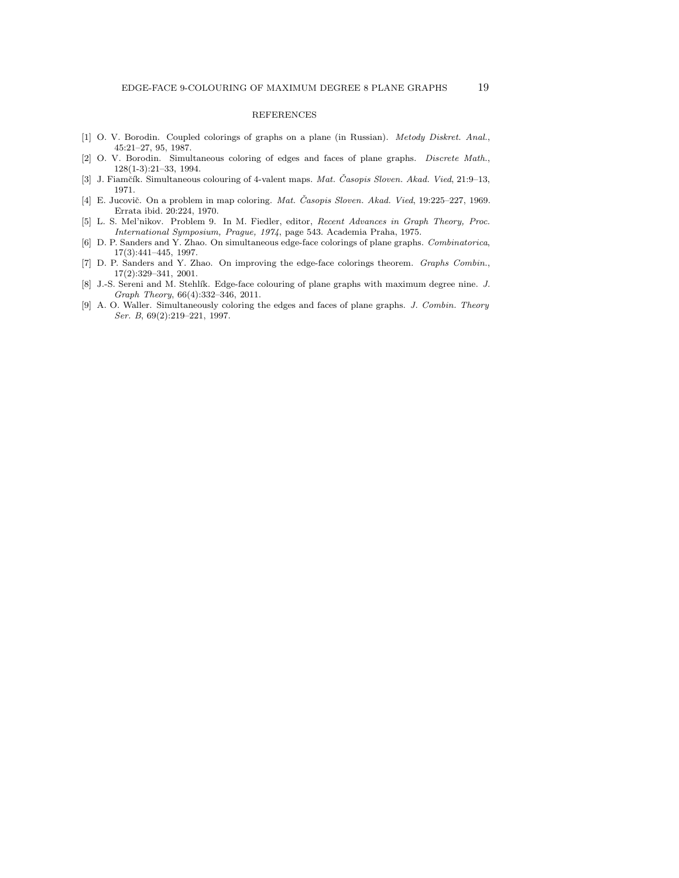### REFERENCES

- [1] O. V. Borodin. Coupled colorings of graphs on a plane (in Russian). *Metody Diskret. Anal.*, 45:21–27, 95, 1987.
- [2] O. V. Borodin. Simultaneous coloring of edges and faces of plane graphs. *Discrete Math.*, 128(1-3):21–33, 1994.
- [3] J. Fiamčík. Simultaneous colouring of 4-valent maps. Mat. Časopis Sloven. Akad. Vied, 21:9-13, 1971.
- [4] E. Jucovič. On a problem in map coloring. *Mat. Časopis Sloven. Akad. Vied*, 19:225-227, 1969. Errata ibid. 20:224, 1970.
- [5] L. S. Mel'nikov. Problem 9. In M. Fiedler, editor, *Recent Advances in Graph Theory, Proc. International Symposium, Prague, 1974*, page 543. Academia Praha, 1975.
- [6] D. P. Sanders and Y. Zhao. On simultaneous edge-face colorings of plane graphs. *Combinatorica*, 17(3):441–445, 1997.
- [7] D. P. Sanders and Y. Zhao. On improving the edge-face colorings theorem. *Graphs Combin.*, 17(2):329–341, 2001.
- [8] J.-S. Sereni and M. Stehl´ık. Edge-face colouring of plane graphs with maximum degree nine. *J. Graph Theory*, 66(4):332–346, 2011.
- [9] A. O. Waller. Simultaneously coloring the edges and faces of plane graphs. *J. Combin. Theory Ser. B*, 69(2):219–221, 1997.